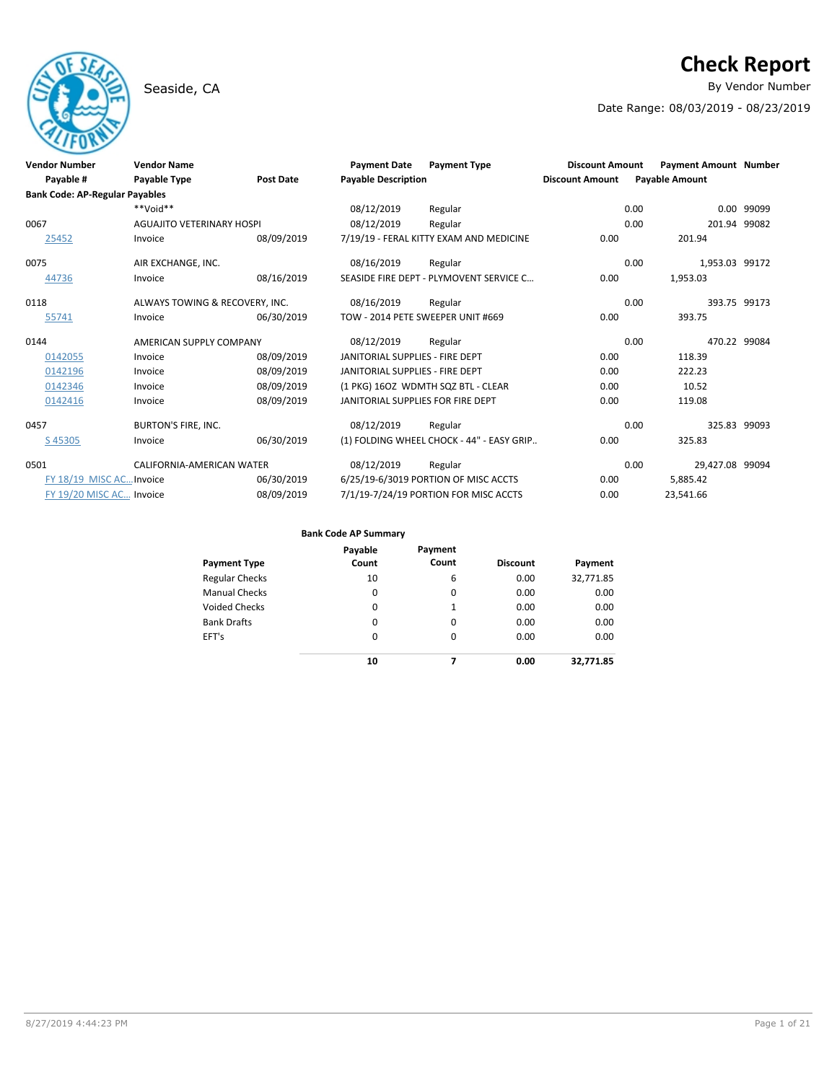# Seaside, CA **By Vendor Number**

# **Check Report**

Date Range: 08/03/2019 - 08/23/2019

| <b>Vendor Number</b><br>Payable #     | <b>Vendor Name</b><br>Payable Type | <b>Post Date</b> | <b>Payment Date</b><br><b>Payable Description</b> | <b>Payment Type</b>                       | <b>Discount Amount</b><br><b>Discount Amount</b> | <b>Payable Amount</b> | <b>Payment Amount Number</b> |            |
|---------------------------------------|------------------------------------|------------------|---------------------------------------------------|-------------------------------------------|--------------------------------------------------|-----------------------|------------------------------|------------|
| <b>Bank Code: AP-Regular Payables</b> |                                    |                  |                                                   |                                           |                                                  |                       |                              |            |
|                                       | $**$ Noid**                        |                  | 08/12/2019                                        | Regular                                   |                                                  | 0.00                  |                              | 0.00 99099 |
| 0067                                  | <b>AGUAJITO VETERINARY HOSPI</b>   |                  | 08/12/2019                                        | Regular                                   |                                                  | 0.00                  | 201.94 99082                 |            |
| 25452                                 | Invoice                            | 08/09/2019       |                                                   | 7/19/19 - FERAL KITTY EXAM AND MEDICINE   | 0.00                                             |                       | 201.94                       |            |
| 0075                                  | AIR EXCHANGE, INC.                 |                  | 08/16/2019                                        | Regular                                   |                                                  | 0.00                  | 1,953.03 99172               |            |
| 44736                                 | Invoice                            | 08/16/2019       |                                                   | SEASIDE FIRE DEPT - PLYMOVENT SERVICE C   | 0.00                                             | 1,953.03              |                              |            |
| 0118                                  | ALWAYS TOWING & RECOVERY, INC.     |                  | 08/16/2019                                        | Regular                                   |                                                  | 0.00                  | 393.75 99173                 |            |
| 55741                                 | Invoice                            | 06/30/2019       | TOW - 2014 PETE SWEEPER UNIT #669                 |                                           | 0.00                                             |                       | 393.75                       |            |
| 0144                                  | AMERICAN SUPPLY COMPANY            |                  | 08/12/2019                                        | Regular                                   |                                                  | 0.00                  | 470.22 99084                 |            |
| 0142055                               | Invoice                            | 08/09/2019       | JANITORIAL SUPPLIES - FIRE DEPT                   |                                           | 0.00                                             |                       | 118.39                       |            |
| 0142196                               | Invoice                            | 08/09/2019       | JANITORIAL SUPPLIES - FIRE DEPT                   |                                           | 0.00                                             |                       | 222.23                       |            |
| 0142346                               | Invoice                            | 08/09/2019       |                                                   | (1 PKG) 16OZ WDMTH SQZ BTL - CLEAR        | 0.00                                             |                       | 10.52                        |            |
| 0142416                               | Invoice                            | 08/09/2019       | JANITORIAL SUPPLIES FOR FIRE DEPT                 |                                           | 0.00                                             |                       | 119.08                       |            |
| 0457                                  | <b>BURTON'S FIRE, INC.</b>         |                  | 08/12/2019                                        | Regular                                   |                                                  | 0.00                  | 325.83 99093                 |            |
| S45305                                | Invoice                            | 06/30/2019       |                                                   | (1) FOLDING WHEEL CHOCK - 44" - EASY GRIP | 0.00                                             |                       | 325.83                       |            |
| 0501                                  | CALIFORNIA-AMERICAN WATER          |                  | 08/12/2019                                        | Regular                                   |                                                  | 0.00                  | 29.427.08 99094              |            |
| FY 18/19 MISC AC Invoice              |                                    | 06/30/2019       |                                                   | 6/25/19-6/3019 PORTION OF MISC ACCTS      | 0.00                                             | 5,885.42              |                              |            |
| FY 19/20 MISC AC Invoice              |                                    | 08/09/2019       |                                                   | 7/1/19-7/24/19 PORTION FOR MISC ACCTS     | 0.00                                             | 23,541.66             |                              |            |

| Payment Type          | Payable<br>Count | Payment<br>Count | <b>Discount</b> | Payment   |
|-----------------------|------------------|------------------|-----------------|-----------|
| <b>Regular Checks</b> | 10               | 6                | 0.00            | 32,771.85 |
| <b>Manual Checks</b>  | 0                | 0                | 0.00            | 0.00      |
| <b>Voided Checks</b>  | 0                | 1                | 0.00            | 0.00      |
| <b>Bank Drafts</b>    | 0                | 0                | 0.00            | 0.00      |
| EFT's                 | $\Omega$         | $\Omega$         | 0.00            | 0.00      |
|                       | 10               | 7                | 0.00            | 32.771.85 |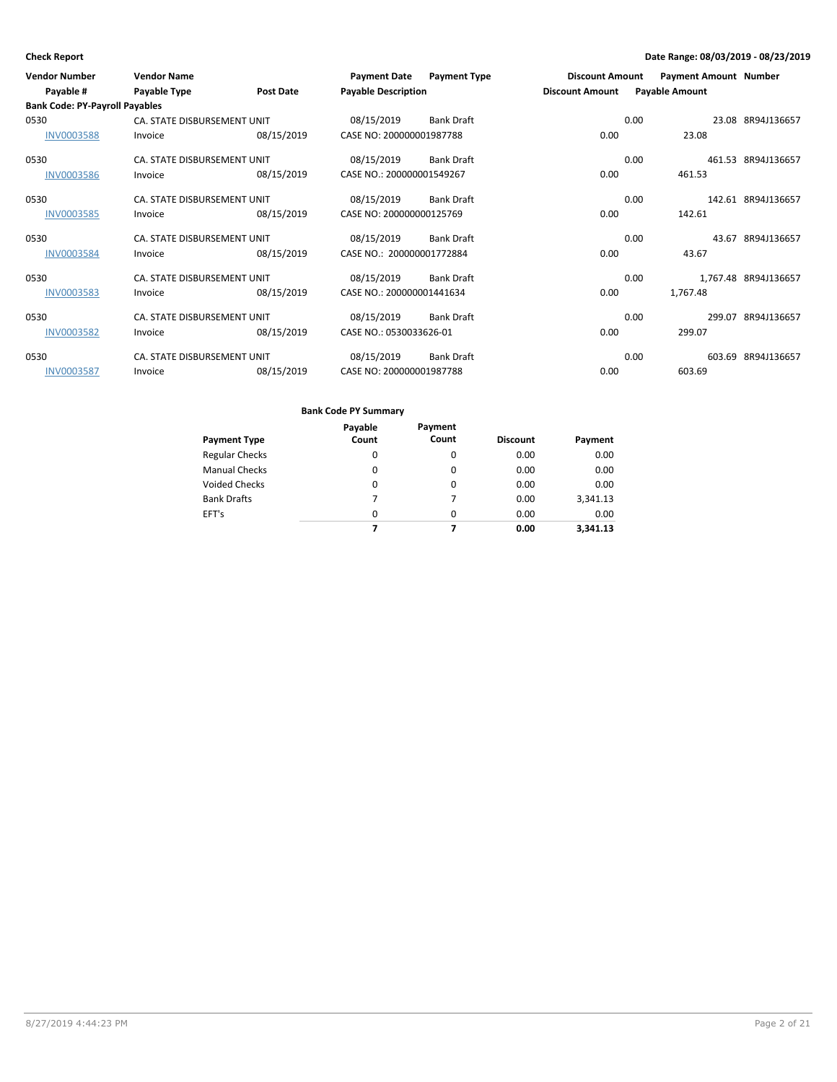| <b>Vendor Number</b>                  | <b>Vendor Name</b>          |                  | <b>Payment Date</b>        | <b>Payment Type</b> | <b>Discount Amount</b> |      | <b>Payment Amount Number</b> |                      |
|---------------------------------------|-----------------------------|------------------|----------------------------|---------------------|------------------------|------|------------------------------|----------------------|
| Payable #                             | Payable Type                | <b>Post Date</b> | <b>Payable Description</b> |                     | <b>Discount Amount</b> |      | <b>Payable Amount</b>        |                      |
| <b>Bank Code: PY-Payroll Payables</b> |                             |                  |                            |                     |                        |      |                              |                      |
| 0530                                  | CA. STATE DISBURSEMENT UNIT |                  | 08/15/2019                 | <b>Bank Draft</b>   |                        | 0.00 |                              | 23.08 8R94J136657    |
| <b>INV0003588</b>                     | Invoice                     | 08/15/2019       | CASE NO: 200000001987788   |                     | 0.00                   |      | 23.08                        |                      |
| 0530                                  | CA. STATE DISBURSEMENT UNIT |                  | 08/15/2019                 | <b>Bank Draft</b>   |                        | 0.00 |                              | 461.53 8R94J136657   |
| <b>INV0003586</b>                     | Invoice                     | 08/15/2019       | CASE NO.: 200000001549267  |                     | 0.00                   |      | 461.53                       |                      |
| 0530                                  | CA. STATE DISBURSEMENT UNIT |                  | 08/15/2019                 | Bank Draft          |                        | 0.00 |                              | 142.61 8R94J136657   |
| <b>INV0003585</b>                     | Invoice                     | 08/15/2019       | CASE NO: 200000000125769   |                     | 0.00                   |      | 142.61                       |                      |
| 0530                                  | CA. STATE DISBURSEMENT UNIT |                  | 08/15/2019                 | <b>Bank Draft</b>   |                        | 0.00 |                              | 43.67 8R94J136657    |
| <b>INV0003584</b>                     | Invoice                     | 08/15/2019       | CASE NO.: 200000001772884  |                     | 0.00                   |      | 43.67                        |                      |
| 0530                                  | CA. STATE DISBURSEMENT UNIT |                  | 08/15/2019                 | <b>Bank Draft</b>   |                        | 0.00 |                              | 1,767.48 8R94J136657 |
| <b>INV0003583</b>                     | Invoice                     | 08/15/2019       | CASE NO.: 200000001441634  |                     | 0.00                   |      | 1,767.48                     |                      |
| 0530                                  | CA. STATE DISBURSEMENT UNIT |                  | 08/15/2019                 | <b>Bank Draft</b>   |                        | 0.00 |                              | 299.07 8R94J136657   |
| <b>INV0003582</b>                     | Invoice                     | 08/15/2019       | CASE NO.: 0530033626-01    |                     | 0.00                   |      | 299.07                       |                      |
| 0530                                  | CA. STATE DISBURSEMENT UNIT |                  | 08/15/2019                 | Bank Draft          |                        | 0.00 |                              | 603.69 8R94J136657   |
| <b>INV0003587</b>                     | Invoice                     | 08/15/2019       | CASE NO: 200000001987788   |                     | 0.00                   |      | 603.69                       |                      |

|                       | Payable  | Payment  |                 |          |
|-----------------------|----------|----------|-----------------|----------|
| <b>Payment Type</b>   | Count    | Count    | <b>Discount</b> | Payment  |
| <b>Regular Checks</b> | 0        | 0        | 0.00            | 0.00     |
| <b>Manual Checks</b>  | 0        | $\Omega$ | 0.00            | 0.00     |
| <b>Voided Checks</b>  | $\Omega$ | 0        | 0.00            | 0.00     |
| <b>Bank Drafts</b>    | 7        | 7        | 0.00            | 3,341.13 |
| EFT's                 | $\Omega$ | $\Omega$ | 0.00            | 0.00     |
|                       |          |          | 0.00            | 3.341.13 |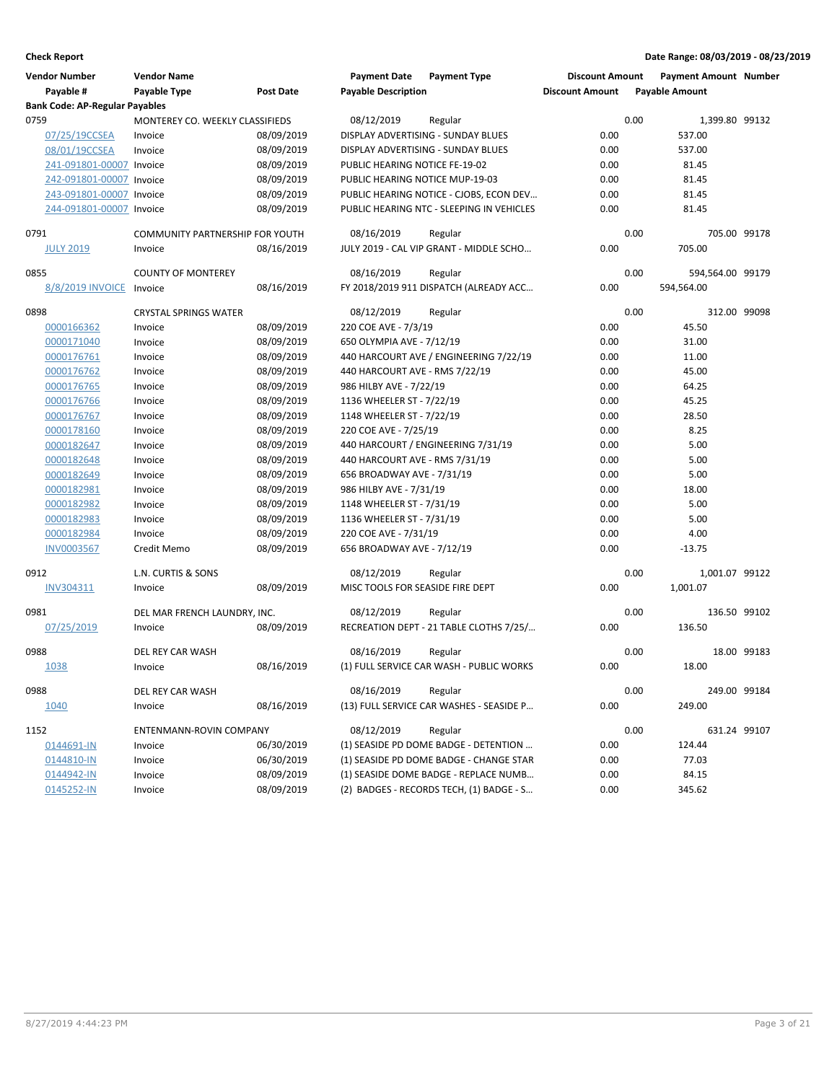| <b>Bank Code: AP-Regular Payables</b><br>0.00<br>0759<br>MONTEREY CO. WEEKLY CLASSIFIEDS<br>08/12/2019<br>1,399.80 99132<br>Regular<br>0.00<br>537.00<br>07/25/19CCSEA<br>08/09/2019<br>DISPLAY ADVERTISING - SUNDAY BLUES<br>Invoice<br>08/01/19CCSEA<br>08/09/2019<br>DISPLAY ADVERTISING - SUNDAY BLUES<br>0.00<br>537.00<br>Invoice<br>241-091801-00007 Invoice<br>08/09/2019<br>PUBLIC HEARING NOTICE FE-19-02<br>0.00<br>81.45<br>08/09/2019<br>PUBLIC HEARING NOTICE MUP-19-03<br>0.00<br>81.45<br>242-091801-00007 Invoice<br>243-091801-00007 Invoice<br>08/09/2019<br>PUBLIC HEARING NOTICE - CJOBS, ECON DEV<br>0.00<br>81.45<br>08/09/2019<br>0.00<br>244-091801-00007 Invoice<br>PUBLIC HEARING NTC - SLEEPING IN VEHICLES<br>81.45<br>0.00<br>0791<br>COMMUNITY PARTNERSHIP FOR YOUTH<br>08/16/2019<br>705.00 99178<br>Regular<br>0.00<br>705.00<br><b>JULY 2019</b><br>JULY 2019 - CAL VIP GRANT - MIDDLE SCHO<br>Invoice<br>08/16/2019<br>0.00<br>0855<br><b>COUNTY OF MONTEREY</b><br>08/16/2019<br>594,564.00 99179<br>Regular<br>8/8/2019 INVOICE<br>08/16/2019<br>FY 2018/2019 911 DISPATCH (ALREADY ACC<br>0.00<br>594,564.00<br>Invoice<br>0898<br><b>CRYSTAL SPRINGS WATER</b><br>08/12/2019<br>0.00<br>312.00 99098<br>Regular<br>08/09/2019<br>220 COE AVE - 7/3/19<br>0.00<br>45.50<br>0000166362<br>Invoice<br>0.00<br>0000171040<br>Invoice<br>08/09/2019<br>650 OLYMPIA AVE - 7/12/19<br>31.00<br>0000176761<br>08/09/2019<br>440 HARCOURT AVE / ENGINEERING 7/22/19<br>0.00<br>11.00<br>Invoice<br>0000176762<br>08/09/2019<br>440 HARCOURT AVE - RMS 7/22/19<br>0.00<br>45.00<br>Invoice<br>0000176765<br>Invoice<br>08/09/2019<br>986 HILBY AVE - 7/22/19<br>0.00<br>64.25<br>08/09/2019<br>1136 WHEELER ST - 7/22/19<br>0.00<br>45.25<br>0000176766<br>Invoice<br>0000176767<br>Invoice<br>08/09/2019<br>1148 WHEELER ST - 7/22/19<br>0.00<br>28.50<br>08/09/2019<br>220 COE AVE - 7/25/19<br>0.00<br>8.25<br>0000178160<br>Invoice<br>440 HARCOURT / ENGINEERING 7/31/19<br>5.00<br>0000182647<br>08/09/2019<br>0.00<br>Invoice<br>08/09/2019<br>0000182648<br>Invoice<br>440 HARCOURT AVE - RMS 7/31/19<br>0.00<br>5.00<br>08/09/2019<br>656 BROADWAY AVE - 7/31/19<br>0.00<br>5.00<br>0000182649<br>Invoice<br>0000182981<br>Invoice<br>08/09/2019<br>986 HILBY AVE - 7/31/19<br>0.00<br>18.00<br>5.00<br>0000182982<br>Invoice<br>08/09/2019<br>1148 WHEELER ST - 7/31/19<br>0.00<br>0000182983<br>08/09/2019<br>1136 WHEELER ST - 7/31/19<br>0.00<br>5.00<br>Invoice<br>220 COE AVE - 7/31/19<br>0000182984<br>Invoice<br>08/09/2019<br>0.00<br>4.00<br>0.00<br>08/09/2019<br>656 BROADWAY AVE - 7/12/19<br>$-13.75$<br>INV0003567<br>Credit Memo<br>08/12/2019<br>0.00<br>1,001.07 99122<br>0912<br>L.N. CURTIS & SONS<br>Regular<br>0.00<br>INV304311<br>08/09/2019<br>MISC TOOLS FOR SEASIDE FIRE DEPT<br>1,001.07<br>Invoice<br>0981<br>DEL MAR FRENCH LAUNDRY, INC.<br>08/12/2019<br>0.00<br>136.50 99102<br>Regular<br>07/25/2019<br>RECREATION DEPT - 21 TABLE CLOTHS 7/25/<br>0.00<br>136.50<br>08/09/2019<br>Invoice<br>0988<br>0.00<br>18.00 99183<br>DEL REY CAR WASH<br>08/16/2019<br>Regular<br>08/16/2019<br>(1) FULL SERVICE CAR WASH - PUBLIC WORKS<br>0.00<br>18.00<br>1038<br>Invoice<br>0988<br>08/16/2019<br>0.00<br>DEL REY CAR WASH<br>Regular<br>249.00 99184<br>0.00<br>1040<br>08/16/2019<br>(13) FULL SERVICE CAR WASHES - SEASIDE P<br>249.00<br>Invoice<br>0.00<br>1152<br>ENTENMANN-ROVIN COMPANY<br>08/12/2019<br>631.24 99107<br>Regular<br>06/30/2019<br>(1) SEASIDE PD DOME BADGE - DETENTION<br>0.00<br>124.44<br>0144691-IN<br>Invoice<br>06/30/2019<br>(1) SEASIDE PD DOME BADGE - CHANGE STAR<br>0.00<br>77.03<br>0144810-IN<br>Invoice<br>08/09/2019<br>0.00<br>84.15<br>0144942-IN<br>Invoice<br>(1) SEASIDE DOME BADGE - REPLACE NUMB<br>08/09/2019<br>0145252-IN<br>(2) BADGES - RECORDS TECH, (1) BADGE - S<br>0.00<br>345.62<br>Invoice | <b>Vendor Number</b><br>Payable # | <b>Vendor Name</b><br>Payable Type | Post Date | <b>Payment Date</b><br><b>Payable Description</b> | <b>Payment Type</b> | <b>Discount Amount</b><br><b>Discount Amount</b> | <b>Payment Amount Number</b><br><b>Payable Amount</b> |  |
|--------------------------------------------------------------------------------------------------------------------------------------------------------------------------------------------------------------------------------------------------------------------------------------------------------------------------------------------------------------------------------------------------------------------------------------------------------------------------------------------------------------------------------------------------------------------------------------------------------------------------------------------------------------------------------------------------------------------------------------------------------------------------------------------------------------------------------------------------------------------------------------------------------------------------------------------------------------------------------------------------------------------------------------------------------------------------------------------------------------------------------------------------------------------------------------------------------------------------------------------------------------------------------------------------------------------------------------------------------------------------------------------------------------------------------------------------------------------------------------------------------------------------------------------------------------------------------------------------------------------------------------------------------------------------------------------------------------------------------------------------------------------------------------------------------------------------------------------------------------------------------------------------------------------------------------------------------------------------------------------------------------------------------------------------------------------------------------------------------------------------------------------------------------------------------------------------------------------------------------------------------------------------------------------------------------------------------------------------------------------------------------------------------------------------------------------------------------------------------------------------------------------------------------------------------------------------------------------------------------------------------------------------------------------------------------------------------------------------------------------------------------------------------------------------------------------------------------------------------------------------------------------------------------------------------------------------------------------------------------------------------------------------------------------------------------------------------------------------------------------------------------------------------------------------------------------------------------------------------------------------------------------------------------------------------------------------------------------------------------------------------------------------------------------------------------------------------------------------------------------------------------------------------------------------------------------------------------------------------------------------------------------------------------------------------------------------------------------------------------------------------------------------------------------------------------------------------------------------------------------------------------------------------------------------|-----------------------------------|------------------------------------|-----------|---------------------------------------------------|---------------------|--------------------------------------------------|-------------------------------------------------------|--|
|                                                                                                                                                                                                                                                                                                                                                                                                                                                                                                                                                                                                                                                                                                                                                                                                                                                                                                                                                                                                                                                                                                                                                                                                                                                                                                                                                                                                                                                                                                                                                                                                                                                                                                                                                                                                                                                                                                                                                                                                                                                                                                                                                                                                                                                                                                                                                                                                                                                                                                                                                                                                                                                                                                                                                                                                                                                                                                                                                                                                                                                                                                                                                                                                                                                                                                                                                                                                                                                                                                                                                                                                                                                                                                                                                                                                                                                                                                                          |                                   |                                    |           |                                                   |                     |                                                  |                                                       |  |
|                                                                                                                                                                                                                                                                                                                                                                                                                                                                                                                                                                                                                                                                                                                                                                                                                                                                                                                                                                                                                                                                                                                                                                                                                                                                                                                                                                                                                                                                                                                                                                                                                                                                                                                                                                                                                                                                                                                                                                                                                                                                                                                                                                                                                                                                                                                                                                                                                                                                                                                                                                                                                                                                                                                                                                                                                                                                                                                                                                                                                                                                                                                                                                                                                                                                                                                                                                                                                                                                                                                                                                                                                                                                                                                                                                                                                                                                                                                          |                                   |                                    |           |                                                   |                     |                                                  |                                                       |  |
|                                                                                                                                                                                                                                                                                                                                                                                                                                                                                                                                                                                                                                                                                                                                                                                                                                                                                                                                                                                                                                                                                                                                                                                                                                                                                                                                                                                                                                                                                                                                                                                                                                                                                                                                                                                                                                                                                                                                                                                                                                                                                                                                                                                                                                                                                                                                                                                                                                                                                                                                                                                                                                                                                                                                                                                                                                                                                                                                                                                                                                                                                                                                                                                                                                                                                                                                                                                                                                                                                                                                                                                                                                                                                                                                                                                                                                                                                                                          |                                   |                                    |           |                                                   |                     |                                                  |                                                       |  |
|                                                                                                                                                                                                                                                                                                                                                                                                                                                                                                                                                                                                                                                                                                                                                                                                                                                                                                                                                                                                                                                                                                                                                                                                                                                                                                                                                                                                                                                                                                                                                                                                                                                                                                                                                                                                                                                                                                                                                                                                                                                                                                                                                                                                                                                                                                                                                                                                                                                                                                                                                                                                                                                                                                                                                                                                                                                                                                                                                                                                                                                                                                                                                                                                                                                                                                                                                                                                                                                                                                                                                                                                                                                                                                                                                                                                                                                                                                                          |                                   |                                    |           |                                                   |                     |                                                  |                                                       |  |
|                                                                                                                                                                                                                                                                                                                                                                                                                                                                                                                                                                                                                                                                                                                                                                                                                                                                                                                                                                                                                                                                                                                                                                                                                                                                                                                                                                                                                                                                                                                                                                                                                                                                                                                                                                                                                                                                                                                                                                                                                                                                                                                                                                                                                                                                                                                                                                                                                                                                                                                                                                                                                                                                                                                                                                                                                                                                                                                                                                                                                                                                                                                                                                                                                                                                                                                                                                                                                                                                                                                                                                                                                                                                                                                                                                                                                                                                                                                          |                                   |                                    |           |                                                   |                     |                                                  |                                                       |  |
|                                                                                                                                                                                                                                                                                                                                                                                                                                                                                                                                                                                                                                                                                                                                                                                                                                                                                                                                                                                                                                                                                                                                                                                                                                                                                                                                                                                                                                                                                                                                                                                                                                                                                                                                                                                                                                                                                                                                                                                                                                                                                                                                                                                                                                                                                                                                                                                                                                                                                                                                                                                                                                                                                                                                                                                                                                                                                                                                                                                                                                                                                                                                                                                                                                                                                                                                                                                                                                                                                                                                                                                                                                                                                                                                                                                                                                                                                                                          |                                   |                                    |           |                                                   |                     |                                                  |                                                       |  |
|                                                                                                                                                                                                                                                                                                                                                                                                                                                                                                                                                                                                                                                                                                                                                                                                                                                                                                                                                                                                                                                                                                                                                                                                                                                                                                                                                                                                                                                                                                                                                                                                                                                                                                                                                                                                                                                                                                                                                                                                                                                                                                                                                                                                                                                                                                                                                                                                                                                                                                                                                                                                                                                                                                                                                                                                                                                                                                                                                                                                                                                                                                                                                                                                                                                                                                                                                                                                                                                                                                                                                                                                                                                                                                                                                                                                                                                                                                                          |                                   |                                    |           |                                                   |                     |                                                  |                                                       |  |
|                                                                                                                                                                                                                                                                                                                                                                                                                                                                                                                                                                                                                                                                                                                                                                                                                                                                                                                                                                                                                                                                                                                                                                                                                                                                                                                                                                                                                                                                                                                                                                                                                                                                                                                                                                                                                                                                                                                                                                                                                                                                                                                                                                                                                                                                                                                                                                                                                                                                                                                                                                                                                                                                                                                                                                                                                                                                                                                                                                                                                                                                                                                                                                                                                                                                                                                                                                                                                                                                                                                                                                                                                                                                                                                                                                                                                                                                                                                          |                                   |                                    |           |                                                   |                     |                                                  |                                                       |  |
|                                                                                                                                                                                                                                                                                                                                                                                                                                                                                                                                                                                                                                                                                                                                                                                                                                                                                                                                                                                                                                                                                                                                                                                                                                                                                                                                                                                                                                                                                                                                                                                                                                                                                                                                                                                                                                                                                                                                                                                                                                                                                                                                                                                                                                                                                                                                                                                                                                                                                                                                                                                                                                                                                                                                                                                                                                                                                                                                                                                                                                                                                                                                                                                                                                                                                                                                                                                                                                                                                                                                                                                                                                                                                                                                                                                                                                                                                                                          |                                   |                                    |           |                                                   |                     |                                                  |                                                       |  |
|                                                                                                                                                                                                                                                                                                                                                                                                                                                                                                                                                                                                                                                                                                                                                                                                                                                                                                                                                                                                                                                                                                                                                                                                                                                                                                                                                                                                                                                                                                                                                                                                                                                                                                                                                                                                                                                                                                                                                                                                                                                                                                                                                                                                                                                                                                                                                                                                                                                                                                                                                                                                                                                                                                                                                                                                                                                                                                                                                                                                                                                                                                                                                                                                                                                                                                                                                                                                                                                                                                                                                                                                                                                                                                                                                                                                                                                                                                                          |                                   |                                    |           |                                                   |                     |                                                  |                                                       |  |
|                                                                                                                                                                                                                                                                                                                                                                                                                                                                                                                                                                                                                                                                                                                                                                                                                                                                                                                                                                                                                                                                                                                                                                                                                                                                                                                                                                                                                                                                                                                                                                                                                                                                                                                                                                                                                                                                                                                                                                                                                                                                                                                                                                                                                                                                                                                                                                                                                                                                                                                                                                                                                                                                                                                                                                                                                                                                                                                                                                                                                                                                                                                                                                                                                                                                                                                                                                                                                                                                                                                                                                                                                                                                                                                                                                                                                                                                                                                          |                                   |                                    |           |                                                   |                     |                                                  |                                                       |  |
|                                                                                                                                                                                                                                                                                                                                                                                                                                                                                                                                                                                                                                                                                                                                                                                                                                                                                                                                                                                                                                                                                                                                                                                                                                                                                                                                                                                                                                                                                                                                                                                                                                                                                                                                                                                                                                                                                                                                                                                                                                                                                                                                                                                                                                                                                                                                                                                                                                                                                                                                                                                                                                                                                                                                                                                                                                                                                                                                                                                                                                                                                                                                                                                                                                                                                                                                                                                                                                                                                                                                                                                                                                                                                                                                                                                                                                                                                                                          |                                   |                                    |           |                                                   |                     |                                                  |                                                       |  |
|                                                                                                                                                                                                                                                                                                                                                                                                                                                                                                                                                                                                                                                                                                                                                                                                                                                                                                                                                                                                                                                                                                                                                                                                                                                                                                                                                                                                                                                                                                                                                                                                                                                                                                                                                                                                                                                                                                                                                                                                                                                                                                                                                                                                                                                                                                                                                                                                                                                                                                                                                                                                                                                                                                                                                                                                                                                                                                                                                                                                                                                                                                                                                                                                                                                                                                                                                                                                                                                                                                                                                                                                                                                                                                                                                                                                                                                                                                                          |                                   |                                    |           |                                                   |                     |                                                  |                                                       |  |
|                                                                                                                                                                                                                                                                                                                                                                                                                                                                                                                                                                                                                                                                                                                                                                                                                                                                                                                                                                                                                                                                                                                                                                                                                                                                                                                                                                                                                                                                                                                                                                                                                                                                                                                                                                                                                                                                                                                                                                                                                                                                                                                                                                                                                                                                                                                                                                                                                                                                                                                                                                                                                                                                                                                                                                                                                                                                                                                                                                                                                                                                                                                                                                                                                                                                                                                                                                                                                                                                                                                                                                                                                                                                                                                                                                                                                                                                                                                          |                                   |                                    |           |                                                   |                     |                                                  |                                                       |  |
|                                                                                                                                                                                                                                                                                                                                                                                                                                                                                                                                                                                                                                                                                                                                                                                                                                                                                                                                                                                                                                                                                                                                                                                                                                                                                                                                                                                                                                                                                                                                                                                                                                                                                                                                                                                                                                                                                                                                                                                                                                                                                                                                                                                                                                                                                                                                                                                                                                                                                                                                                                                                                                                                                                                                                                                                                                                                                                                                                                                                                                                                                                                                                                                                                                                                                                                                                                                                                                                                                                                                                                                                                                                                                                                                                                                                                                                                                                                          |                                   |                                    |           |                                                   |                     |                                                  |                                                       |  |
|                                                                                                                                                                                                                                                                                                                                                                                                                                                                                                                                                                                                                                                                                                                                                                                                                                                                                                                                                                                                                                                                                                                                                                                                                                                                                                                                                                                                                                                                                                                                                                                                                                                                                                                                                                                                                                                                                                                                                                                                                                                                                                                                                                                                                                                                                                                                                                                                                                                                                                                                                                                                                                                                                                                                                                                                                                                                                                                                                                                                                                                                                                                                                                                                                                                                                                                                                                                                                                                                                                                                                                                                                                                                                                                                                                                                                                                                                                                          |                                   |                                    |           |                                                   |                     |                                                  |                                                       |  |
|                                                                                                                                                                                                                                                                                                                                                                                                                                                                                                                                                                                                                                                                                                                                                                                                                                                                                                                                                                                                                                                                                                                                                                                                                                                                                                                                                                                                                                                                                                                                                                                                                                                                                                                                                                                                                                                                                                                                                                                                                                                                                                                                                                                                                                                                                                                                                                                                                                                                                                                                                                                                                                                                                                                                                                                                                                                                                                                                                                                                                                                                                                                                                                                                                                                                                                                                                                                                                                                                                                                                                                                                                                                                                                                                                                                                                                                                                                                          |                                   |                                    |           |                                                   |                     |                                                  |                                                       |  |
|                                                                                                                                                                                                                                                                                                                                                                                                                                                                                                                                                                                                                                                                                                                                                                                                                                                                                                                                                                                                                                                                                                                                                                                                                                                                                                                                                                                                                                                                                                                                                                                                                                                                                                                                                                                                                                                                                                                                                                                                                                                                                                                                                                                                                                                                                                                                                                                                                                                                                                                                                                                                                                                                                                                                                                                                                                                                                                                                                                                                                                                                                                                                                                                                                                                                                                                                                                                                                                                                                                                                                                                                                                                                                                                                                                                                                                                                                                                          |                                   |                                    |           |                                                   |                     |                                                  |                                                       |  |
|                                                                                                                                                                                                                                                                                                                                                                                                                                                                                                                                                                                                                                                                                                                                                                                                                                                                                                                                                                                                                                                                                                                                                                                                                                                                                                                                                                                                                                                                                                                                                                                                                                                                                                                                                                                                                                                                                                                                                                                                                                                                                                                                                                                                                                                                                                                                                                                                                                                                                                                                                                                                                                                                                                                                                                                                                                                                                                                                                                                                                                                                                                                                                                                                                                                                                                                                                                                                                                                                                                                                                                                                                                                                                                                                                                                                                                                                                                                          |                                   |                                    |           |                                                   |                     |                                                  |                                                       |  |
|                                                                                                                                                                                                                                                                                                                                                                                                                                                                                                                                                                                                                                                                                                                                                                                                                                                                                                                                                                                                                                                                                                                                                                                                                                                                                                                                                                                                                                                                                                                                                                                                                                                                                                                                                                                                                                                                                                                                                                                                                                                                                                                                                                                                                                                                                                                                                                                                                                                                                                                                                                                                                                                                                                                                                                                                                                                                                                                                                                                                                                                                                                                                                                                                                                                                                                                                                                                                                                                                                                                                                                                                                                                                                                                                                                                                                                                                                                                          |                                   |                                    |           |                                                   |                     |                                                  |                                                       |  |
|                                                                                                                                                                                                                                                                                                                                                                                                                                                                                                                                                                                                                                                                                                                                                                                                                                                                                                                                                                                                                                                                                                                                                                                                                                                                                                                                                                                                                                                                                                                                                                                                                                                                                                                                                                                                                                                                                                                                                                                                                                                                                                                                                                                                                                                                                                                                                                                                                                                                                                                                                                                                                                                                                                                                                                                                                                                                                                                                                                                                                                                                                                                                                                                                                                                                                                                                                                                                                                                                                                                                                                                                                                                                                                                                                                                                                                                                                                                          |                                   |                                    |           |                                                   |                     |                                                  |                                                       |  |
|                                                                                                                                                                                                                                                                                                                                                                                                                                                                                                                                                                                                                                                                                                                                                                                                                                                                                                                                                                                                                                                                                                                                                                                                                                                                                                                                                                                                                                                                                                                                                                                                                                                                                                                                                                                                                                                                                                                                                                                                                                                                                                                                                                                                                                                                                                                                                                                                                                                                                                                                                                                                                                                                                                                                                                                                                                                                                                                                                                                                                                                                                                                                                                                                                                                                                                                                                                                                                                                                                                                                                                                                                                                                                                                                                                                                                                                                                                                          |                                   |                                    |           |                                                   |                     |                                                  |                                                       |  |
|                                                                                                                                                                                                                                                                                                                                                                                                                                                                                                                                                                                                                                                                                                                                                                                                                                                                                                                                                                                                                                                                                                                                                                                                                                                                                                                                                                                                                                                                                                                                                                                                                                                                                                                                                                                                                                                                                                                                                                                                                                                                                                                                                                                                                                                                                                                                                                                                                                                                                                                                                                                                                                                                                                                                                                                                                                                                                                                                                                                                                                                                                                                                                                                                                                                                                                                                                                                                                                                                                                                                                                                                                                                                                                                                                                                                                                                                                                                          |                                   |                                    |           |                                                   |                     |                                                  |                                                       |  |
|                                                                                                                                                                                                                                                                                                                                                                                                                                                                                                                                                                                                                                                                                                                                                                                                                                                                                                                                                                                                                                                                                                                                                                                                                                                                                                                                                                                                                                                                                                                                                                                                                                                                                                                                                                                                                                                                                                                                                                                                                                                                                                                                                                                                                                                                                                                                                                                                                                                                                                                                                                                                                                                                                                                                                                                                                                                                                                                                                                                                                                                                                                                                                                                                                                                                                                                                                                                                                                                                                                                                                                                                                                                                                                                                                                                                                                                                                                                          |                                   |                                    |           |                                                   |                     |                                                  |                                                       |  |
|                                                                                                                                                                                                                                                                                                                                                                                                                                                                                                                                                                                                                                                                                                                                                                                                                                                                                                                                                                                                                                                                                                                                                                                                                                                                                                                                                                                                                                                                                                                                                                                                                                                                                                                                                                                                                                                                                                                                                                                                                                                                                                                                                                                                                                                                                                                                                                                                                                                                                                                                                                                                                                                                                                                                                                                                                                                                                                                                                                                                                                                                                                                                                                                                                                                                                                                                                                                                                                                                                                                                                                                                                                                                                                                                                                                                                                                                                                                          |                                   |                                    |           |                                                   |                     |                                                  |                                                       |  |
|                                                                                                                                                                                                                                                                                                                                                                                                                                                                                                                                                                                                                                                                                                                                                                                                                                                                                                                                                                                                                                                                                                                                                                                                                                                                                                                                                                                                                                                                                                                                                                                                                                                                                                                                                                                                                                                                                                                                                                                                                                                                                                                                                                                                                                                                                                                                                                                                                                                                                                                                                                                                                                                                                                                                                                                                                                                                                                                                                                                                                                                                                                                                                                                                                                                                                                                                                                                                                                                                                                                                                                                                                                                                                                                                                                                                                                                                                                                          |                                   |                                    |           |                                                   |                     |                                                  |                                                       |  |
|                                                                                                                                                                                                                                                                                                                                                                                                                                                                                                                                                                                                                                                                                                                                                                                                                                                                                                                                                                                                                                                                                                                                                                                                                                                                                                                                                                                                                                                                                                                                                                                                                                                                                                                                                                                                                                                                                                                                                                                                                                                                                                                                                                                                                                                                                                                                                                                                                                                                                                                                                                                                                                                                                                                                                                                                                                                                                                                                                                                                                                                                                                                                                                                                                                                                                                                                                                                                                                                                                                                                                                                                                                                                                                                                                                                                                                                                                                                          |                                   |                                    |           |                                                   |                     |                                                  |                                                       |  |
|                                                                                                                                                                                                                                                                                                                                                                                                                                                                                                                                                                                                                                                                                                                                                                                                                                                                                                                                                                                                                                                                                                                                                                                                                                                                                                                                                                                                                                                                                                                                                                                                                                                                                                                                                                                                                                                                                                                                                                                                                                                                                                                                                                                                                                                                                                                                                                                                                                                                                                                                                                                                                                                                                                                                                                                                                                                                                                                                                                                                                                                                                                                                                                                                                                                                                                                                                                                                                                                                                                                                                                                                                                                                                                                                                                                                                                                                                                                          |                                   |                                    |           |                                                   |                     |                                                  |                                                       |  |
|                                                                                                                                                                                                                                                                                                                                                                                                                                                                                                                                                                                                                                                                                                                                                                                                                                                                                                                                                                                                                                                                                                                                                                                                                                                                                                                                                                                                                                                                                                                                                                                                                                                                                                                                                                                                                                                                                                                                                                                                                                                                                                                                                                                                                                                                                                                                                                                                                                                                                                                                                                                                                                                                                                                                                                                                                                                                                                                                                                                                                                                                                                                                                                                                                                                                                                                                                                                                                                                                                                                                                                                                                                                                                                                                                                                                                                                                                                                          |                                   |                                    |           |                                                   |                     |                                                  |                                                       |  |
|                                                                                                                                                                                                                                                                                                                                                                                                                                                                                                                                                                                                                                                                                                                                                                                                                                                                                                                                                                                                                                                                                                                                                                                                                                                                                                                                                                                                                                                                                                                                                                                                                                                                                                                                                                                                                                                                                                                                                                                                                                                                                                                                                                                                                                                                                                                                                                                                                                                                                                                                                                                                                                                                                                                                                                                                                                                                                                                                                                                                                                                                                                                                                                                                                                                                                                                                                                                                                                                                                                                                                                                                                                                                                                                                                                                                                                                                                                                          |                                   |                                    |           |                                                   |                     |                                                  |                                                       |  |
|                                                                                                                                                                                                                                                                                                                                                                                                                                                                                                                                                                                                                                                                                                                                                                                                                                                                                                                                                                                                                                                                                                                                                                                                                                                                                                                                                                                                                                                                                                                                                                                                                                                                                                                                                                                                                                                                                                                                                                                                                                                                                                                                                                                                                                                                                                                                                                                                                                                                                                                                                                                                                                                                                                                                                                                                                                                                                                                                                                                                                                                                                                                                                                                                                                                                                                                                                                                                                                                                                                                                                                                                                                                                                                                                                                                                                                                                                                                          |                                   |                                    |           |                                                   |                     |                                                  |                                                       |  |
|                                                                                                                                                                                                                                                                                                                                                                                                                                                                                                                                                                                                                                                                                                                                                                                                                                                                                                                                                                                                                                                                                                                                                                                                                                                                                                                                                                                                                                                                                                                                                                                                                                                                                                                                                                                                                                                                                                                                                                                                                                                                                                                                                                                                                                                                                                                                                                                                                                                                                                                                                                                                                                                                                                                                                                                                                                                                                                                                                                                                                                                                                                                                                                                                                                                                                                                                                                                                                                                                                                                                                                                                                                                                                                                                                                                                                                                                                                                          |                                   |                                    |           |                                                   |                     |                                                  |                                                       |  |
|                                                                                                                                                                                                                                                                                                                                                                                                                                                                                                                                                                                                                                                                                                                                                                                                                                                                                                                                                                                                                                                                                                                                                                                                                                                                                                                                                                                                                                                                                                                                                                                                                                                                                                                                                                                                                                                                                                                                                                                                                                                                                                                                                                                                                                                                                                                                                                                                                                                                                                                                                                                                                                                                                                                                                                                                                                                                                                                                                                                                                                                                                                                                                                                                                                                                                                                                                                                                                                                                                                                                                                                                                                                                                                                                                                                                                                                                                                                          |                                   |                                    |           |                                                   |                     |                                                  |                                                       |  |
|                                                                                                                                                                                                                                                                                                                                                                                                                                                                                                                                                                                                                                                                                                                                                                                                                                                                                                                                                                                                                                                                                                                                                                                                                                                                                                                                                                                                                                                                                                                                                                                                                                                                                                                                                                                                                                                                                                                                                                                                                                                                                                                                                                                                                                                                                                                                                                                                                                                                                                                                                                                                                                                                                                                                                                                                                                                                                                                                                                                                                                                                                                                                                                                                                                                                                                                                                                                                                                                                                                                                                                                                                                                                                                                                                                                                                                                                                                                          |                                   |                                    |           |                                                   |                     |                                                  |                                                       |  |
|                                                                                                                                                                                                                                                                                                                                                                                                                                                                                                                                                                                                                                                                                                                                                                                                                                                                                                                                                                                                                                                                                                                                                                                                                                                                                                                                                                                                                                                                                                                                                                                                                                                                                                                                                                                                                                                                                                                                                                                                                                                                                                                                                                                                                                                                                                                                                                                                                                                                                                                                                                                                                                                                                                                                                                                                                                                                                                                                                                                                                                                                                                                                                                                                                                                                                                                                                                                                                                                                                                                                                                                                                                                                                                                                                                                                                                                                                                                          |                                   |                                    |           |                                                   |                     |                                                  |                                                       |  |
|                                                                                                                                                                                                                                                                                                                                                                                                                                                                                                                                                                                                                                                                                                                                                                                                                                                                                                                                                                                                                                                                                                                                                                                                                                                                                                                                                                                                                                                                                                                                                                                                                                                                                                                                                                                                                                                                                                                                                                                                                                                                                                                                                                                                                                                                                                                                                                                                                                                                                                                                                                                                                                                                                                                                                                                                                                                                                                                                                                                                                                                                                                                                                                                                                                                                                                                                                                                                                                                                                                                                                                                                                                                                                                                                                                                                                                                                                                                          |                                   |                                    |           |                                                   |                     |                                                  |                                                       |  |
|                                                                                                                                                                                                                                                                                                                                                                                                                                                                                                                                                                                                                                                                                                                                                                                                                                                                                                                                                                                                                                                                                                                                                                                                                                                                                                                                                                                                                                                                                                                                                                                                                                                                                                                                                                                                                                                                                                                                                                                                                                                                                                                                                                                                                                                                                                                                                                                                                                                                                                                                                                                                                                                                                                                                                                                                                                                                                                                                                                                                                                                                                                                                                                                                                                                                                                                                                                                                                                                                                                                                                                                                                                                                                                                                                                                                                                                                                                                          |                                   |                                    |           |                                                   |                     |                                                  |                                                       |  |
|                                                                                                                                                                                                                                                                                                                                                                                                                                                                                                                                                                                                                                                                                                                                                                                                                                                                                                                                                                                                                                                                                                                                                                                                                                                                                                                                                                                                                                                                                                                                                                                                                                                                                                                                                                                                                                                                                                                                                                                                                                                                                                                                                                                                                                                                                                                                                                                                                                                                                                                                                                                                                                                                                                                                                                                                                                                                                                                                                                                                                                                                                                                                                                                                                                                                                                                                                                                                                                                                                                                                                                                                                                                                                                                                                                                                                                                                                                                          |                                   |                                    |           |                                                   |                     |                                                  |                                                       |  |
|                                                                                                                                                                                                                                                                                                                                                                                                                                                                                                                                                                                                                                                                                                                                                                                                                                                                                                                                                                                                                                                                                                                                                                                                                                                                                                                                                                                                                                                                                                                                                                                                                                                                                                                                                                                                                                                                                                                                                                                                                                                                                                                                                                                                                                                                                                                                                                                                                                                                                                                                                                                                                                                                                                                                                                                                                                                                                                                                                                                                                                                                                                                                                                                                                                                                                                                                                                                                                                                                                                                                                                                                                                                                                                                                                                                                                                                                                                                          |                                   |                                    |           |                                                   |                     |                                                  |                                                       |  |
|                                                                                                                                                                                                                                                                                                                                                                                                                                                                                                                                                                                                                                                                                                                                                                                                                                                                                                                                                                                                                                                                                                                                                                                                                                                                                                                                                                                                                                                                                                                                                                                                                                                                                                                                                                                                                                                                                                                                                                                                                                                                                                                                                                                                                                                                                                                                                                                                                                                                                                                                                                                                                                                                                                                                                                                                                                                                                                                                                                                                                                                                                                                                                                                                                                                                                                                                                                                                                                                                                                                                                                                                                                                                                                                                                                                                                                                                                                                          |                                   |                                    |           |                                                   |                     |                                                  |                                                       |  |
|                                                                                                                                                                                                                                                                                                                                                                                                                                                                                                                                                                                                                                                                                                                                                                                                                                                                                                                                                                                                                                                                                                                                                                                                                                                                                                                                                                                                                                                                                                                                                                                                                                                                                                                                                                                                                                                                                                                                                                                                                                                                                                                                                                                                                                                                                                                                                                                                                                                                                                                                                                                                                                                                                                                                                                                                                                                                                                                                                                                                                                                                                                                                                                                                                                                                                                                                                                                                                                                                                                                                                                                                                                                                                                                                                                                                                                                                                                                          |                                   |                                    |           |                                                   |                     |                                                  |                                                       |  |
|                                                                                                                                                                                                                                                                                                                                                                                                                                                                                                                                                                                                                                                                                                                                                                                                                                                                                                                                                                                                                                                                                                                                                                                                                                                                                                                                                                                                                                                                                                                                                                                                                                                                                                                                                                                                                                                                                                                                                                                                                                                                                                                                                                                                                                                                                                                                                                                                                                                                                                                                                                                                                                                                                                                                                                                                                                                                                                                                                                                                                                                                                                                                                                                                                                                                                                                                                                                                                                                                                                                                                                                                                                                                                                                                                                                                                                                                                                                          |                                   |                                    |           |                                                   |                     |                                                  |                                                       |  |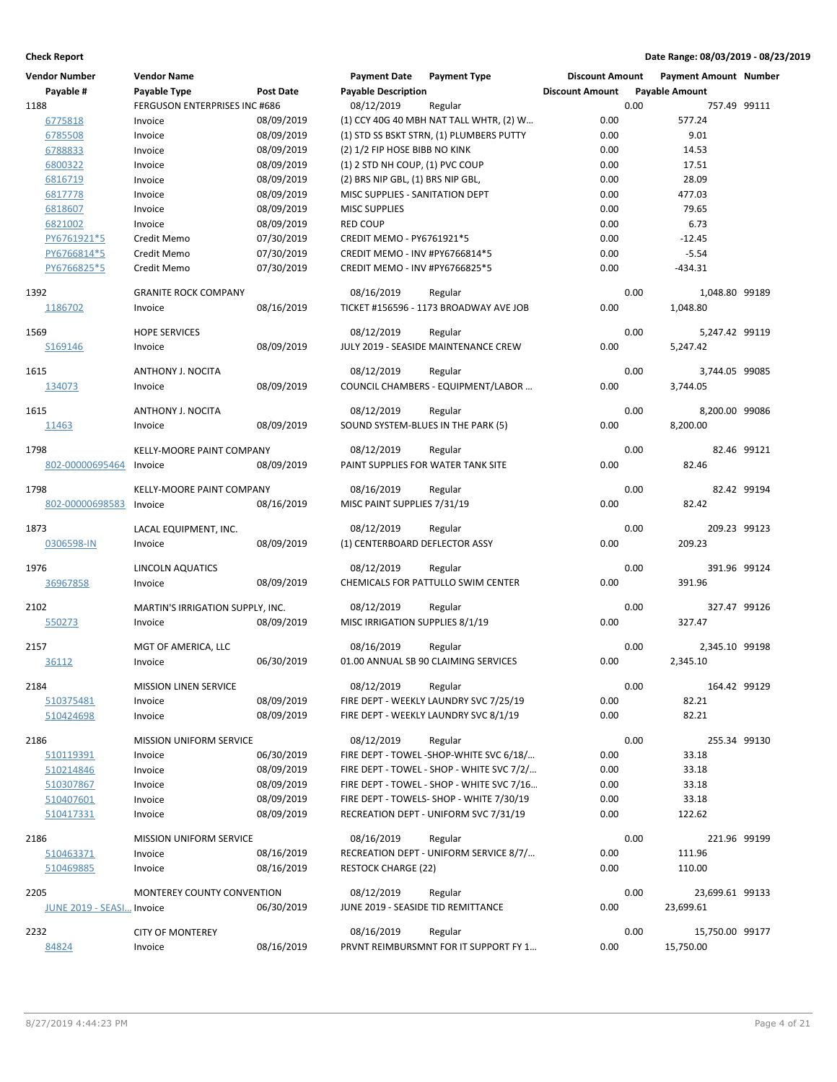| <b>Vendor Number</b>      | <b>Vendor Name</b>                |            | <b>Payment Date</b>                | <b>Payment Type</b>                               | <b>Discount Amount</b> |      | <b>Payment Amount Number</b> |             |
|---------------------------|-----------------------------------|------------|------------------------------------|---------------------------------------------------|------------------------|------|------------------------------|-------------|
| Payable #                 | Payable Type                      | Post Date  | <b>Payable Description</b>         |                                                   | <b>Discount Amount</b> |      | <b>Payable Amount</b>        |             |
| 1188                      | FERGUSON ENTERPRISES INC #686     |            | 08/12/2019                         | Regular                                           |                        | 0.00 | 757.49 99111                 |             |
| 6775818                   | Invoice                           | 08/09/2019 |                                    | (1) CCY 40G 40 MBH NAT TALL WHTR, (2) W           | 0.00                   |      | 577.24                       |             |
| 6785508                   | Invoice                           | 08/09/2019 |                                    | (1) STD SS BSKT STRN, (1) PLUMBERS PUTTY          | 0.00                   |      | 9.01                         |             |
| 6788833                   | Invoice                           | 08/09/2019 | (2) 1/2 FIP HOSE BIBB NO KINK      |                                                   | 0.00                   |      | 14.53                        |             |
| 6800322                   | Invoice                           | 08/09/2019 | (1) 2 STD NH COUP, (1) PVC COUP    |                                                   | 0.00                   |      | 17.51                        |             |
| 6816719                   | Invoice                           | 08/09/2019 | (2) BRS NIP GBL, (1) BRS NIP GBL,  |                                                   | 0.00                   |      | 28.09                        |             |
| 6817778                   | Invoice                           | 08/09/2019 | MISC SUPPLIES - SANITATION DEPT    |                                                   | 0.00                   |      | 477.03                       |             |
| 6818607                   | Invoice                           | 08/09/2019 | <b>MISC SUPPLIES</b>               |                                                   | 0.00                   |      | 79.65                        |             |
| 6821002                   | Invoice                           | 08/09/2019 | <b>RED COUP</b>                    |                                                   | 0.00                   |      | 6.73                         |             |
| PY6761921*5               | Credit Memo                       | 07/30/2019 | CREDIT MEMO - PY6761921*5          |                                                   | 0.00                   |      | $-12.45$                     |             |
| PY6766814*5               | Credit Memo                       | 07/30/2019 | CREDIT MEMO - INV #PY6766814*5     |                                                   | 0.00                   |      | $-5.54$                      |             |
| PY6766825*5               | Credit Memo                       | 07/30/2019 | CREDIT MEMO - INV #PY6766825*5     |                                                   | 0.00                   |      | $-434.31$                    |             |
|                           |                                   |            |                                    |                                                   |                        |      |                              |             |
| 1392                      | <b>GRANITE ROCK COMPANY</b>       |            | 08/16/2019                         | Regular                                           |                        | 0.00 | 1,048.80 99189               |             |
| 1186702                   | Invoice                           | 08/16/2019 |                                    | TICKET #156596 - 1173 BROADWAY AVE JOB            | 0.00                   |      | 1,048.80                     |             |
| 1569                      | <b>HOPE SERVICES</b>              |            | 08/12/2019                         | Regular                                           |                        | 0.00 | 5,247.42 99119               |             |
| S169146                   | Invoice                           | 08/09/2019 |                                    | JULY 2019 - SEASIDE MAINTENANCE CREW              | 0.00                   |      | 5,247.42                     |             |
|                           |                                   |            |                                    |                                                   |                        |      |                              |             |
| 1615                      | ANTHONY J. NOCITA                 |            | 08/12/2019                         | Regular                                           |                        | 0.00 | 3,744.05 99085               |             |
| 134073                    | Invoice                           | 08/09/2019 |                                    | COUNCIL CHAMBERS - EQUIPMENT/LABOR                | 0.00                   |      | 3.744.05                     |             |
|                           |                                   |            |                                    |                                                   |                        |      |                              |             |
| 1615                      | ANTHONY J. NOCITA                 |            | 08/12/2019                         | Regular                                           |                        | 0.00 | 8,200.00 99086               |             |
| 11463                     | Invoice                           | 08/09/2019 | SOUND SYSTEM-BLUES IN THE PARK (5) |                                                   | 0.00                   |      | 8,200.00                     |             |
| 1798                      | KELLY-MOORE PAINT COMPANY         |            | 08/12/2019                         | Regular                                           |                        | 0.00 |                              | 82.46 99121 |
| 802-00000695464           | Invoice                           | 08/09/2019 | PAINT SUPPLIES FOR WATER TANK SITE |                                                   | 0.00                   |      | 82.46                        |             |
|                           |                                   |            |                                    |                                                   |                        |      |                              |             |
| 1798                      | KELLY-MOORE PAINT COMPANY         |            | 08/16/2019                         | Regular                                           |                        | 0.00 |                              | 82.42 99194 |
| 802-00000698583           | Invoice                           | 08/16/2019 | MISC PAINT SUPPLIES 7/31/19        |                                                   | 0.00                   |      | 82.42                        |             |
|                           |                                   |            |                                    |                                                   |                        |      |                              |             |
| 1873                      | LACAL EQUIPMENT, INC.             |            | 08/12/2019                         | Regular                                           |                        | 0.00 | 209.23 99123                 |             |
| 0306598-IN                | Invoice                           | 08/09/2019 | (1) CENTERBOARD DEFLECTOR ASSY     |                                                   | 0.00                   |      | 209.23                       |             |
| 1976                      | <b>LINCOLN AQUATICS</b>           |            | 08/12/2019                         | Regular                                           |                        | 0.00 | 391.96 99124                 |             |
| 36967858                  | Invoice                           | 08/09/2019 |                                    | CHEMICALS FOR PATTULLO SWIM CENTER                | 0.00                   |      | 391.96                       |             |
|                           |                                   |            |                                    |                                                   |                        |      |                              |             |
| 2102                      | MARTIN'S IRRIGATION SUPPLY, INC.  |            | 08/12/2019                         | Regular                                           |                        | 0.00 | 327.47 99126                 |             |
| 550273                    | Invoice                           | 08/09/2019 | MISC IRRIGATION SUPPLIES 8/1/19    |                                                   | 0.00                   |      | 327.47                       |             |
|                           |                                   |            |                                    |                                                   |                        |      |                              |             |
| 2157                      | MGT OF AMERICA, LLC               |            | 08/16/2019                         | Regular                                           |                        | 0.00 | 2,345.10 99198               |             |
| 36112                     | Invoice                           | 06/30/2019 |                                    | 01.00 ANNUAL SB 90 CLAIMING SERVICES              | 0.00                   |      | 2,345.10                     |             |
| 2184                      | <b>MISSION LINEN SERVICE</b>      |            | 08/12/2019                         | Regular                                           |                        | 0.00 | 164.42 99129                 |             |
| 510375481                 | Invoice                           | 08/09/2019 |                                    | FIRE DEPT - WEEKLY LAUNDRY SVC 7/25/19            | 0.00                   |      | 82.21                        |             |
| 510424698                 | Invoice                           | 08/09/2019 |                                    | FIRE DEPT - WEEKLY LAUNDRY SVC 8/1/19             | 0.00                   |      | 82.21                        |             |
|                           |                                   |            |                                    |                                                   |                        |      |                              |             |
| 2186                      | MISSION UNIFORM SERVICE           |            | 08/12/2019                         | Regular                                           |                        | 0.00 | 255.34 99130                 |             |
| 510119391                 | Invoice                           | 06/30/2019 |                                    | FIRE DEPT - TOWEL -SHOP-WHITE SVC 6/18/           | 0.00                   |      | 33.18                        |             |
| 510214846                 | Invoice                           | 08/09/2019 |                                    | FIRE DEPT - TOWEL - SHOP - WHITE SVC 7/2/         | 0.00                   |      | 33.18                        |             |
| 510307867                 | Invoice                           | 08/09/2019 |                                    | FIRE DEPT - TOWEL - SHOP - WHITE SVC 7/16         | 0.00                   |      | 33.18                        |             |
| 510407601                 | Invoice                           | 08/09/2019 |                                    | FIRE DEPT - TOWELS- SHOP - WHITE 7/30/19          | 0.00                   |      | 33.18                        |             |
| 510417331                 | Invoice                           | 08/09/2019 |                                    | RECREATION DEPT - UNIFORM SVC 7/31/19             | 0.00                   |      | 122.62                       |             |
|                           |                                   |            | 08/16/2019                         |                                                   |                        | 0.00 |                              |             |
| 2186                      | <b>MISSION UNIFORM SERVICE</b>    | 08/16/2019 |                                    | Regular<br>RECREATION DEPT - UNIFORM SERVICE 8/7/ | 0.00                   |      | 221.96 99199<br>111.96       |             |
| 510463371                 | Invoice                           | 08/16/2019 | <b>RESTOCK CHARGE (22)</b>         |                                                   | 0.00                   |      | 110.00                       |             |
| 510469885                 | Invoice                           |            |                                    |                                                   |                        |      |                              |             |
| 2205                      | <b>MONTEREY COUNTY CONVENTION</b> |            | 08/12/2019                         | Regular                                           |                        | 0.00 | 23,699.61 99133              |             |
| JUNE 2019 - SEASI Invoice |                                   | 06/30/2019 | JUNE 2019 - SEASIDE TID REMITTANCE |                                                   | 0.00                   |      | 23,699.61                    |             |
|                           |                                   |            |                                    |                                                   |                        |      |                              |             |
| 2232                      | <b>CITY OF MONTEREY</b>           |            | 08/16/2019                         | Regular                                           |                        | 0.00 | 15,750.00 99177              |             |
| 84824                     | Invoice                           | 08/16/2019 |                                    | PRVNT REIMBURSMNT FOR IT SUPPORT FY 1             | 0.00                   |      | 15,750.00                    |             |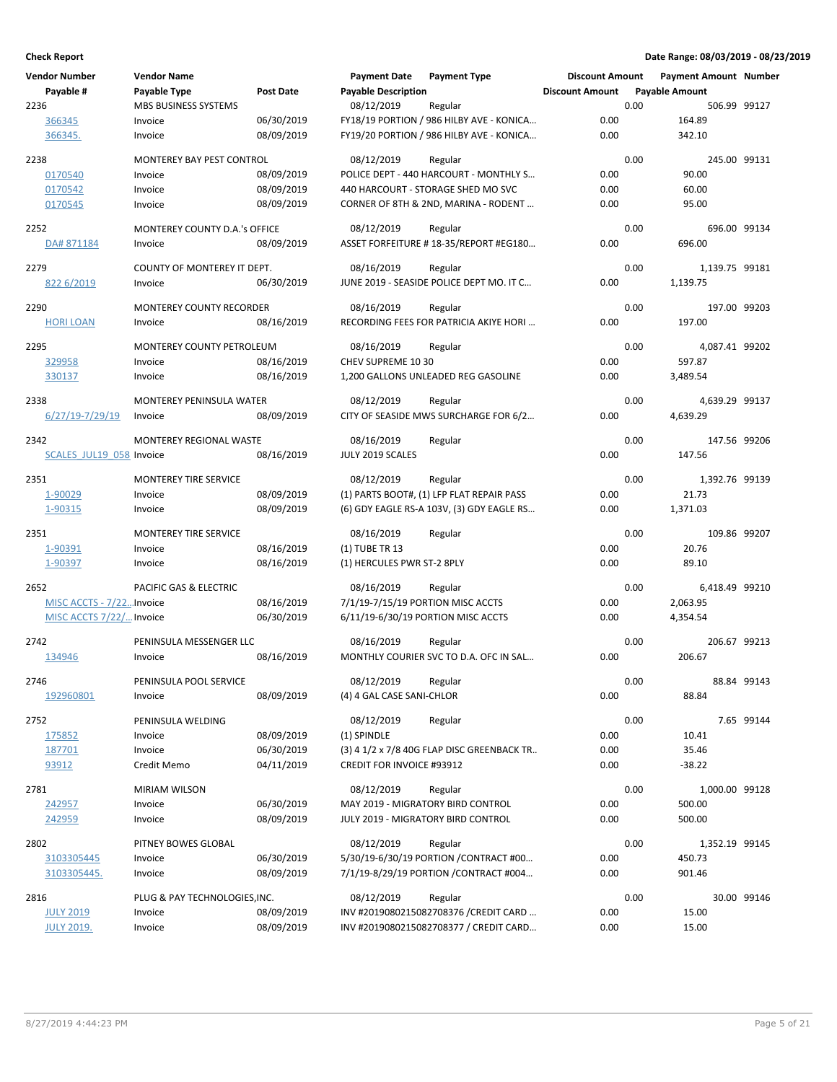| <b>Vendor Number</b>     | <b>Vendor Name</b>               |                  | <b>Payment Date</b>               | <b>Payment Type</b>                        | <b>Discount Amount</b> |      | <b>Payment Amount Number</b> |             |
|--------------------------|----------------------------------|------------------|-----------------------------------|--------------------------------------------|------------------------|------|------------------------------|-------------|
| Payable #                | Payable Type                     | <b>Post Date</b> | <b>Payable Description</b>        |                                            | <b>Discount Amount</b> |      | <b>Payable Amount</b>        |             |
| 2236                     | <b>MBS BUSINESS SYSTEMS</b>      |                  | 08/12/2019                        | Regular                                    |                        | 0.00 | 506.99 99127                 |             |
| 366345                   | Invoice                          | 06/30/2019       |                                   | FY18/19 PORTION / 986 HILBY AVE - KONICA   | 0.00                   |      | 164.89                       |             |
| 366345.                  | Invoice                          | 08/09/2019       |                                   | FY19/20 PORTION / 986 HILBY AVE - KONICA   | 0.00                   |      | 342.10                       |             |
|                          |                                  |                  |                                   |                                            |                        |      |                              |             |
| 2238                     | MONTEREY BAY PEST CONTROL        |                  | 08/12/2019                        | Regular                                    |                        | 0.00 | 245.00 99131                 |             |
| 0170540                  | Invoice                          | 08/09/2019       |                                   | POLICE DEPT - 440 HARCOURT - MONTHLY S     | 0.00                   |      | 90.00                        |             |
| 0170542                  | Invoice                          | 08/09/2019       |                                   | 440 HARCOURT - STORAGE SHED MO SVC         | 0.00                   |      | 60.00                        |             |
| 0170545                  | Invoice                          | 08/09/2019       |                                   | CORNER OF 8TH & 2ND, MARINA - RODENT       | 0.00                   |      | 95.00                        |             |
|                          |                                  |                  |                                   |                                            |                        |      |                              |             |
| 2252                     | MONTEREY COUNTY D.A.'s OFFICE    |                  | 08/12/2019                        | Regular                                    |                        | 0.00 | 696.00 99134                 |             |
| DA# 871184               | Invoice                          | 08/09/2019       |                                   | ASSET FORFEITURE #18-35/REPORT #EG180      | 0.00                   |      | 696.00                       |             |
|                          |                                  |                  |                                   |                                            |                        |      |                              |             |
| 2279                     | COUNTY OF MONTEREY IT DEPT.      |                  | 08/16/2019                        | Regular                                    |                        | 0.00 | 1,139.75 99181               |             |
| 822 6/2019               | Invoice                          | 06/30/2019       |                                   | JUNE 2019 - SEASIDE POLICE DEPT MO. IT C   | 0.00                   |      | 1,139.75                     |             |
|                          |                                  |                  |                                   |                                            |                        |      |                              |             |
| 2290                     | <b>MONTEREY COUNTY RECORDER</b>  |                  | 08/16/2019                        | Regular                                    |                        | 0.00 | 197.00 99203                 |             |
| <b>HORI LOAN</b>         | Invoice                          | 08/16/2019       |                                   | RECORDING FEES FOR PATRICIA AKIYE HORI     | 0.00                   |      | 197.00                       |             |
| 2295                     | <b>MONTEREY COUNTY PETROLEUM</b> |                  | 08/16/2019                        | Regular                                    |                        | 0.00 | 4,087.41 99202               |             |
|                          | Invoice                          | 08/16/2019       | CHEV SUPREME 10 30                |                                            | 0.00                   |      | 597.87                       |             |
| 329958                   |                                  |                  |                                   |                                            | 0.00                   |      |                              |             |
| 330137                   | Invoice                          | 08/16/2019       |                                   | 1,200 GALLONS UNLEADED REG GASOLINE        |                        |      | 3,489.54                     |             |
| 2338                     | MONTEREY PENINSULA WATER         |                  | 08/12/2019                        | Regular                                    |                        | 0.00 | 4,639.29 99137               |             |
| $6/27/19 - 7/29/19$      | Invoice                          | 08/09/2019       |                                   | CITY OF SEASIDE MWS SURCHARGE FOR 6/2      | 0.00                   |      | 4,639.29                     |             |
|                          |                                  |                  |                                   |                                            |                        |      |                              |             |
| 2342                     | <b>MONTEREY REGIONAL WASTE</b>   |                  | 08/16/2019                        | Regular                                    |                        | 0.00 | 147.56 99206                 |             |
| SCALES JUL19 058 Invoice |                                  | 08/16/2019       | JULY 2019 SCALES                  |                                            | 0.00                   |      | 147.56                       |             |
|                          |                                  |                  |                                   |                                            |                        |      |                              |             |
| 2351                     | <b>MONTEREY TIRE SERVICE</b>     |                  | 08/12/2019                        | Regular                                    |                        | 0.00 | 1,392.76 99139               |             |
| 1-90029                  | Invoice                          | 08/09/2019       |                                   | (1) PARTS BOOT#, (1) LFP FLAT REPAIR PASS  | 0.00                   |      | 21.73                        |             |
| 1-90315                  | Invoice                          | 08/09/2019       |                                   | (6) GDY EAGLE RS-A 103V, (3) GDY EAGLE RS  | 0.00                   |      | 1,371.03                     |             |
|                          |                                  |                  |                                   |                                            |                        |      |                              |             |
| 2351                     | <b>MONTEREY TIRE SERVICE</b>     |                  | 08/16/2019                        | Regular                                    |                        | 0.00 | 109.86 99207                 |             |
| 1-90391                  | Invoice                          | 08/16/2019       | (1) TUBE TR 13                    |                                            | 0.00                   |      | 20.76                        |             |
| 1-90397                  | Invoice                          | 08/16/2019       | (1) HERCULES PWR ST-2 8PLY        |                                            | 0.00                   |      | 89.10                        |             |
|                          |                                  |                  |                                   |                                            |                        |      |                              |             |
| 2652                     | PACIFIC GAS & ELECTRIC           |                  | 08/16/2019                        | Regular                                    |                        | 0.00 | 6,418.49 99210               |             |
| MISC ACCTS - 7/22Invoice |                                  | 08/16/2019       | 7/1/19-7/15/19 PORTION MISC ACCTS |                                            | 0.00                   |      | 2,063.95                     |             |
| MISC ACCTS 7/22/ Invoice |                                  | 06/30/2019       |                                   | 6/11/19-6/30/19 PORTION MISC ACCTS         | 0.00                   |      | 4,354.54                     |             |
| 2742                     | PENINSULA MESSENGER LLC          |                  | 08/16/2019                        | Regular                                    |                        | 0.00 | 206.67 99213                 |             |
| 134946                   | Invoice                          | 08/16/2019       |                                   | MONTHLY COURIER SVC TO D.A. OFC IN SAL     | 0.00                   |      | 206.67                       |             |
|                          |                                  |                  |                                   |                                            |                        |      |                              |             |
| 2746                     | PENINSULA POOL SERVICE           |                  | 08/12/2019 Regular                |                                            |                        | 0.00 |                              | 88.84 99143 |
| 192960801                | Invoice                          | 08/09/2019       | (4) 4 GAL CASE SANI-CHLOR         |                                            | 0.00                   |      | 88.84                        |             |
|                          |                                  |                  |                                   |                                            |                        |      |                              |             |
| 2752                     | PENINSULA WELDING                |                  | 08/12/2019                        | Regular                                    |                        | 0.00 |                              | 7.65 99144  |
| 175852                   | Invoice                          | 08/09/2019       | (1) SPINDLE                       |                                            | 0.00                   |      | 10.41                        |             |
| 187701                   | Invoice                          | 06/30/2019       |                                   | (3) 4 1/2 x 7/8 40G FLAP DISC GREENBACK TR | 0.00                   |      | 35.46                        |             |
| 93912                    | Credit Memo                      | 04/11/2019       | <b>CREDIT FOR INVOICE #93912</b>  |                                            | 0.00                   |      | $-38.22$                     |             |
|                          |                                  |                  |                                   |                                            |                        |      |                              |             |
| 2781                     | <b>MIRIAM WILSON</b>             |                  | 08/12/2019                        | Regular                                    |                        | 0.00 | 1,000.00 99128               |             |
| 242957                   | Invoice                          | 06/30/2019       |                                   | MAY 2019 - MIGRATORY BIRD CONTROL          | 0.00                   |      | 500.00                       |             |
| 242959                   | Invoice                          | 08/09/2019       |                                   | JULY 2019 - MIGRATORY BIRD CONTROL         | 0.00                   |      | 500.00                       |             |
|                          |                                  |                  |                                   |                                            |                        |      |                              |             |
| 2802                     | PITNEY BOWES GLOBAL              |                  | 08/12/2019                        | Regular                                    |                        | 0.00 | 1,352.19 99145               |             |
| 3103305445               | Invoice                          | 06/30/2019       |                                   | 5/30/19-6/30/19 PORTION / CONTRACT #00     | 0.00                   |      | 450.73                       |             |
| 3103305445.              | Invoice                          | 08/09/2019       |                                   | 7/1/19-8/29/19 PORTION / CONTRACT #004     | 0.00                   |      | 901.46                       |             |
| 2816                     | PLUG & PAY TECHNOLOGIES, INC.    |                  | 08/12/2019                        | Regular                                    |                        | 0.00 |                              | 30.00 99146 |
| <b>JULY 2019</b>         | Invoice                          | 08/09/2019       |                                   | INV #2019080215082708376 / CREDIT CARD     | 0.00                   |      | 15.00                        |             |
|                          |                                  | 08/09/2019       |                                   |                                            | 0.00                   |      | 15.00                        |             |
| <b>JULY 2019.</b>        | Invoice                          |                  |                                   | INV #2019080215082708377 / CREDIT CARD     |                        |      |                              |             |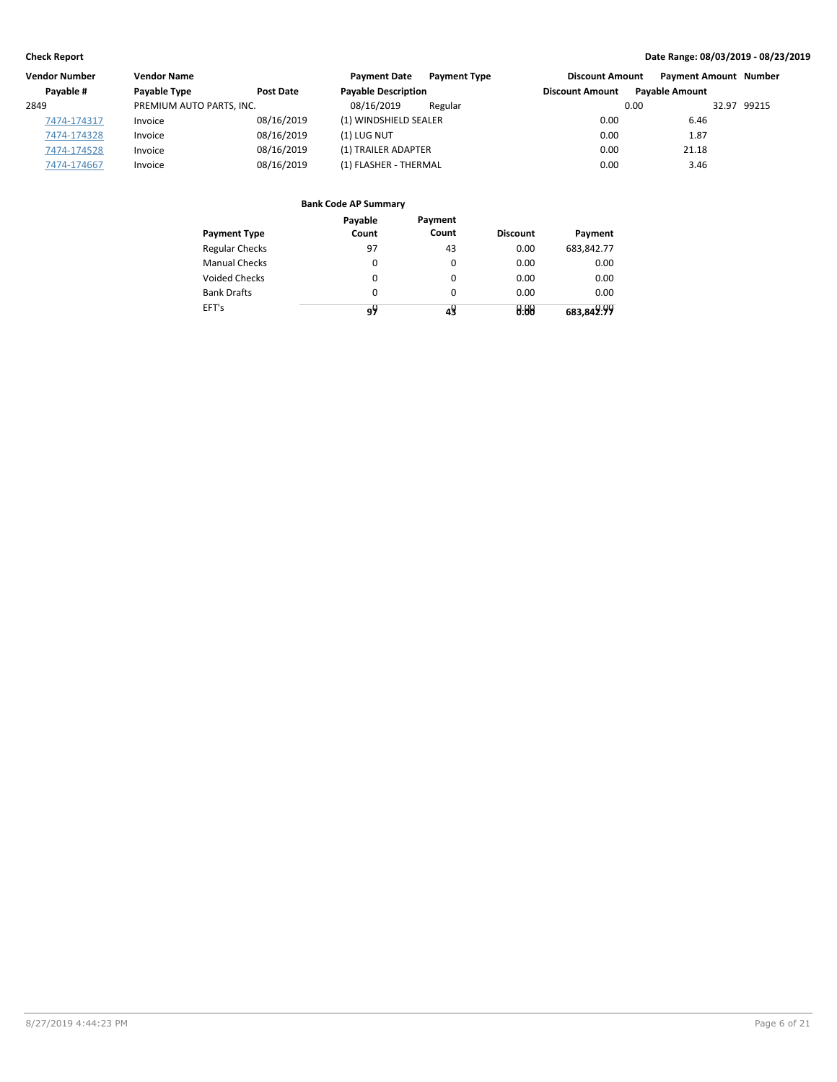| <b>Vendor Number</b> | <b>Vendor Name</b>       |                  | <b>Payment Date</b><br><b>Payment Type</b> | <b>Discount Amount</b> | <b>Payment Amount Number</b> |
|----------------------|--------------------------|------------------|--------------------------------------------|------------------------|------------------------------|
| Pavable #            | Payable Type             | <b>Post Date</b> | <b>Payable Description</b>                 | <b>Discount Amount</b> | <b>Pavable Amount</b>        |
| 2849                 | PREMIUM AUTO PARTS, INC. |                  | 08/16/2019<br>Regular                      | 0.00                   | 32.97 99215                  |
| 7474-174317          | Invoice                  | 08/16/2019       | (1) WINDSHIELD SEALER                      | 0.00                   | 6.46                         |
| 7474-174328          | Invoice                  | 08/16/2019       | (1) LUG NUT                                | 0.00                   | 1.87                         |
| 7474-174528          | Invoice                  | 08/16/2019       | (1) TRAILER ADAPTER                        | 0.00                   | 21.18                        |
| 7474-174667          | Invoice                  | 08/16/2019       | (1) FLASHER - THERMAL                      | 0.00                   | 3.46                         |

|                       | Payable | Payment  |                 |            |
|-----------------------|---------|----------|-----------------|------------|
| <b>Payment Type</b>   | Count   | Count    | <b>Discount</b> | Payment    |
| <b>Regular Checks</b> | 97      | 43       | 0.00            | 683,842.77 |
| <b>Manual Checks</b>  | 0       | $\Omega$ | 0.00            | 0.00       |
| <b>Voided Checks</b>  | 0       | 0        | 0.00            | 0.00       |
| <b>Bank Drafts</b>    | 0       | $\Omega$ | 0.00            | 0.00       |
| EFT's                 | 9۲      |          | 0.88            | 683,842.99 |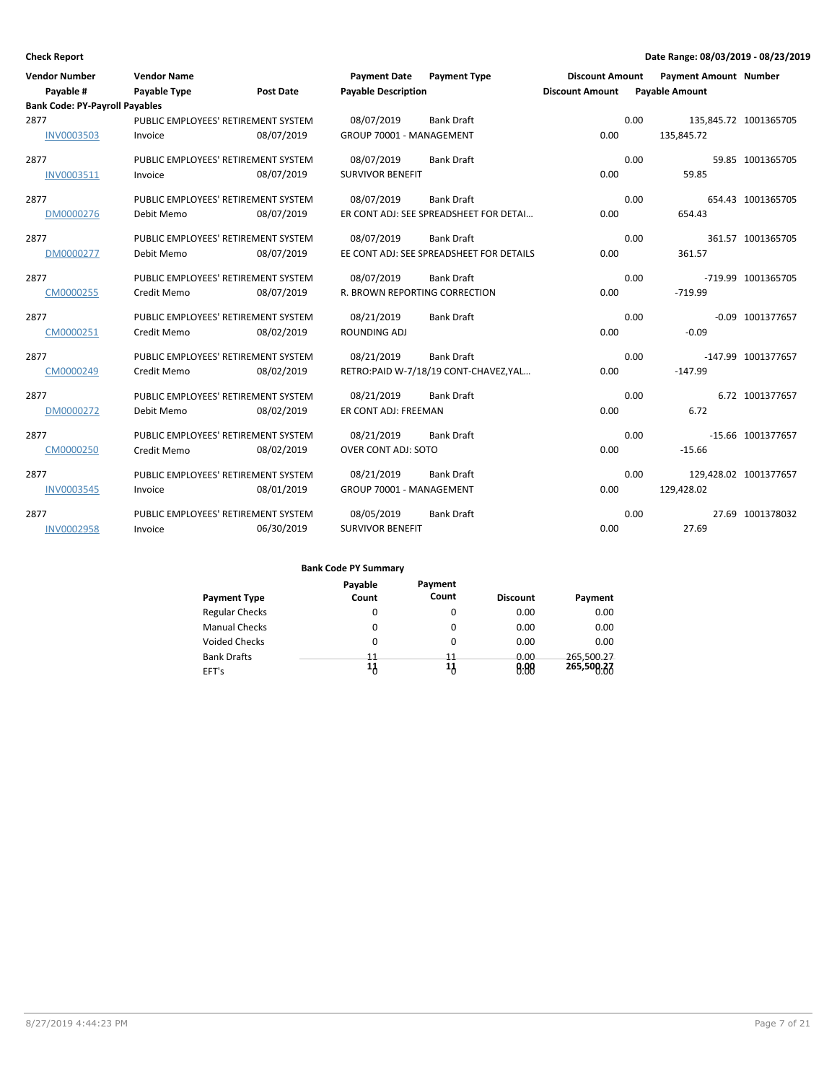| <b>Vendor Number</b>                  | <b>Vendor Name</b>                  |                  | <b>Payment Date</b>                  | <b>Payment Type</b>                      | <b>Discount Amount</b> |      | <b>Payment Amount Number</b> |                       |
|---------------------------------------|-------------------------------------|------------------|--------------------------------------|------------------------------------------|------------------------|------|------------------------------|-----------------------|
| Payable #                             | <b>Payable Type</b>                 | <b>Post Date</b> | <b>Payable Description</b>           |                                          | <b>Discount Amount</b> |      | <b>Payable Amount</b>        |                       |
| <b>Bank Code: PY-Payroll Payables</b> |                                     |                  |                                      |                                          |                        |      |                              |                       |
| 2877                                  | PUBLIC EMPLOYEES' RETIREMENT SYSTEM |                  | 08/07/2019                           | <b>Bank Draft</b>                        |                        | 0.00 |                              | 135,845.72 1001365705 |
| <b>INV0003503</b>                     | Invoice                             | 08/07/2019       | GROUP 70001 - MANAGEMENT             |                                          | 0.00                   |      | 135,845.72                   |                       |
| 2877                                  | PUBLIC EMPLOYEES' RETIREMENT SYSTEM |                  | 08/07/2019                           | <b>Bank Draft</b>                        |                        | 0.00 |                              | 59.85 1001365705      |
| INV0003511                            | Invoice                             | 08/07/2019       | <b>SURVIVOR BENEFIT</b>              |                                          | 0.00                   |      | 59.85                        |                       |
| 2877                                  | PUBLIC EMPLOYEES' RETIREMENT SYSTEM |                  | 08/07/2019                           | <b>Bank Draft</b>                        |                        | 0.00 |                              | 654.43 1001365705     |
| DM0000276                             | Debit Memo                          | 08/07/2019       |                                      | ER CONT ADJ: SEE SPREADSHEET FOR DETAI   | 0.00                   |      | 654.43                       |                       |
| 2877                                  | PUBLIC EMPLOYEES' RETIREMENT SYSTEM |                  | 08/07/2019                           | <b>Bank Draft</b>                        |                        | 0.00 |                              | 361.57 1001365705     |
| DM0000277                             | Debit Memo                          | 08/07/2019       |                                      | EE CONT ADJ: SEE SPREADSHEET FOR DETAILS | 0.00                   |      | 361.57                       |                       |
| 2877                                  | PUBLIC EMPLOYEES' RETIREMENT SYSTEM |                  | 08/07/2019                           | <b>Bank Draft</b>                        |                        | 0.00 |                              | -719.99 1001365705    |
| CM0000255                             | Credit Memo                         | 08/07/2019       | <b>R. BROWN REPORTING CORRECTION</b> |                                          | 0.00                   |      | $-719.99$                    |                       |
| 2877                                  | PUBLIC EMPLOYEES' RETIREMENT SYSTEM |                  | 08/21/2019                           | <b>Bank Draft</b>                        |                        | 0.00 |                              | $-0.09$ 1001377657    |
| CM0000251                             | Credit Memo                         | 08/02/2019       | ROUNDING ADJ                         |                                          | 0.00                   |      | $-0.09$                      |                       |
| 2877                                  | PUBLIC EMPLOYEES' RETIREMENT SYSTEM |                  | 08/21/2019                           | <b>Bank Draft</b>                        |                        | 0.00 |                              | -147.99 1001377657    |
| CM0000249                             | Credit Memo                         | 08/02/2019       |                                      | RETRO:PAID W-7/18/19 CONT-CHAVEZ, YAL    | 0.00                   |      | $-147.99$                    |                       |
| 2877                                  | PUBLIC EMPLOYEES' RETIREMENT SYSTEM |                  | 08/21/2019                           | <b>Bank Draft</b>                        |                        | 0.00 |                              | 6.72 1001377657       |
| DM0000272                             | Debit Memo                          | 08/02/2019       | ER CONT ADJ: FREEMAN                 |                                          | 0.00                   |      | 6.72                         |                       |
| 2877                                  | PUBLIC EMPLOYEES' RETIREMENT SYSTEM |                  | 08/21/2019                           | <b>Bank Draft</b>                        |                        | 0.00 |                              | -15.66 1001377657     |
| CM0000250                             | Credit Memo                         | 08/02/2019       | <b>OVER CONT ADJ: SOTO</b>           |                                          | 0.00                   |      | $-15.66$                     |                       |
| 2877                                  | PUBLIC EMPLOYEES' RETIREMENT SYSTEM |                  | 08/21/2019                           | <b>Bank Draft</b>                        |                        | 0.00 |                              | 129,428.02 1001377657 |
| <b>INV0003545</b>                     | Invoice                             | 08/01/2019       | GROUP 70001 - MANAGEMENT             |                                          | 0.00                   |      | 129,428.02                   |                       |
| 2877                                  | PUBLIC EMPLOYEES' RETIREMENT SYSTEM |                  | 08/05/2019                           | <b>Bank Draft</b>                        |                        | 0.00 |                              | 27.69 1001378032      |
| <b>INV0002958</b>                     | Invoice                             | 06/30/2019       | <b>SURVIVOR BENEFIT</b>              |                                          | 0.00                   |      | 27.69                        |                       |

| <b>Payment Type</b>   | Payable<br>Count | Payment<br>Count | <b>Discount</b> | Payment    |
|-----------------------|------------------|------------------|-----------------|------------|
| <b>Regular Checks</b> | 0                | 0                | 0.00            | 0.00       |
| <b>Manual Checks</b>  | 0                | 0                | 0.00            | 0.00       |
| <b>Voided Checks</b>  | 0                | 0                | 0.00            | 0.00       |
| <b>Bank Drafts</b>    | 11               | 11               | 0.00            | 265.500.27 |
| EFT's                 | 1ქ               | 11               | 0.00            | 265,500.37 |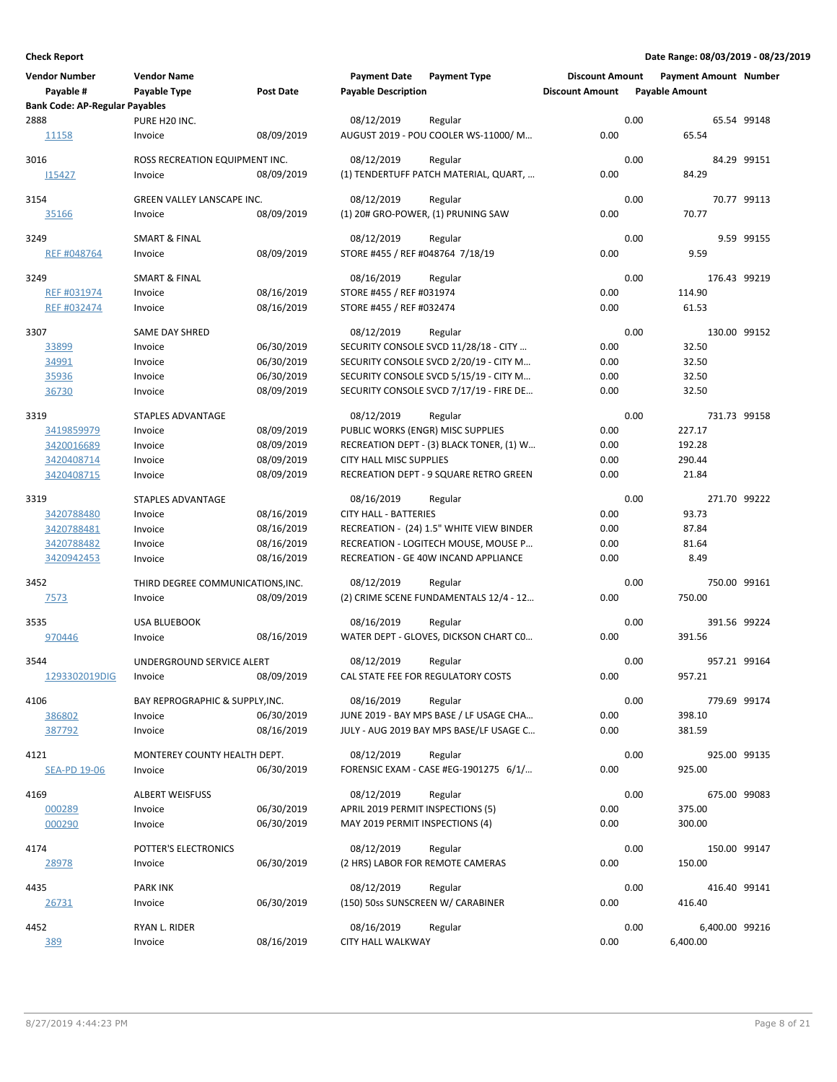| <b>Vendor Number</b><br>Payable #     | <b>Vendor Name</b><br>Payable Type | <b>Post Date</b> | <b>Payment Date</b><br><b>Payable Description</b> | <b>Payment Type</b>                      | <b>Discount Amount</b><br><b>Discount Amount</b> |      | <b>Payment Amount Number</b><br><b>Payable Amount</b> |                |
|---------------------------------------|------------------------------------|------------------|---------------------------------------------------|------------------------------------------|--------------------------------------------------|------|-------------------------------------------------------|----------------|
| <b>Bank Code: AP-Regular Payables</b> |                                    |                  |                                                   |                                          |                                                  |      |                                                       |                |
| 2888                                  | PURE H20 INC.                      |                  | 08/12/2019                                        | Regular                                  |                                                  | 0.00 |                                                       | 65.54 99148    |
| 11158                                 | Invoice                            | 08/09/2019       |                                                   | AUGUST 2019 - POU COOLER WS-11000/M      | 0.00                                             |      | 65.54                                                 |                |
| 3016                                  | ROSS RECREATION EQUIPMENT INC.     |                  | 08/12/2019                                        | Regular                                  |                                                  | 0.00 |                                                       | 84.29 99151    |
| 115427                                | Invoice                            | 08/09/2019       |                                                   | (1) TENDERTUFF PATCH MATERIAL, QUART,    | 0.00                                             |      | 84.29                                                 |                |
|                                       |                                    |                  |                                                   |                                          |                                                  |      |                                                       |                |
| 3154                                  | GREEN VALLEY LANSCAPE INC.         |                  | 08/12/2019                                        | Regular                                  |                                                  | 0.00 |                                                       | 70.77 99113    |
| 35166                                 | Invoice                            | 08/09/2019       |                                                   | (1) 20# GRO-POWER, (1) PRUNING SAW       | 0.00                                             |      | 70.77                                                 |                |
|                                       |                                    |                  |                                                   |                                          |                                                  |      |                                                       |                |
| 3249                                  | <b>SMART &amp; FINAL</b>           |                  | 08/12/2019                                        | Regular                                  |                                                  | 0.00 |                                                       | 9.59 99155     |
| REF #048764                           | Invoice                            | 08/09/2019       | STORE #455 / REF #048764 7/18/19                  |                                          | 0.00                                             |      | 9.59                                                  |                |
| 3249                                  | <b>SMART &amp; FINAL</b>           |                  | 08/16/2019                                        | Regular                                  |                                                  | 0.00 |                                                       | 176.43 99219   |
| REF #031974                           | Invoice                            | 08/16/2019       | STORE #455 / REF #031974                          |                                          | 0.00                                             |      | 114.90                                                |                |
| REF #032474                           | Invoice                            | 08/16/2019       | STORE #455 / REF #032474                          |                                          | 0.00                                             |      | 61.53                                                 |                |
|                                       |                                    |                  |                                                   |                                          |                                                  |      |                                                       |                |
| 3307                                  | <b>SAME DAY SHRED</b>              |                  | 08/12/2019                                        | Regular                                  |                                                  | 0.00 |                                                       | 130.00 99152   |
| 33899                                 | Invoice                            | 06/30/2019       |                                                   | SECURITY CONSOLE SVCD 11/28/18 - CITY    | 0.00                                             |      | 32.50                                                 |                |
| 34991                                 | Invoice                            | 06/30/2019       |                                                   | SECURITY CONSOLE SVCD 2/20/19 - CITY M   | 0.00                                             |      | 32.50                                                 |                |
| 35936                                 | Invoice                            | 06/30/2019       |                                                   | SECURITY CONSOLE SVCD 5/15/19 - CITY M   | 0.00                                             |      | 32.50                                                 |                |
| 36730                                 | Invoice                            | 08/09/2019       |                                                   | SECURITY CONSOLE SVCD 7/17/19 - FIRE DE  | 0.00                                             |      | 32.50                                                 |                |
| 3319                                  | <b>STAPLES ADVANTAGE</b>           |                  | 08/12/2019                                        | Regular                                  |                                                  | 0.00 |                                                       | 731.73 99158   |
| 3419859979                            | Invoice                            | 08/09/2019       | PUBLIC WORKS (ENGR) MISC SUPPLIES                 |                                          | 0.00                                             |      | 227.17                                                |                |
| 3420016689                            | Invoice                            | 08/09/2019       |                                                   | RECREATION DEPT - (3) BLACK TONER, (1) W | 0.00                                             |      | 192.28                                                |                |
| 3420408714                            | Invoice                            | 08/09/2019       | <b>CITY HALL MISC SUPPLIES</b>                    |                                          | 0.00                                             |      | 290.44                                                |                |
| 3420408715                            | Invoice                            | 08/09/2019       |                                                   | RECREATION DEPT - 9 SQUARE RETRO GREEN   | 0.00                                             |      | 21.84                                                 |                |
|                                       |                                    |                  |                                                   |                                          |                                                  |      |                                                       |                |
| 3319                                  | <b>STAPLES ADVANTAGE</b>           |                  | 08/16/2019                                        | Regular                                  |                                                  | 0.00 |                                                       | 271.70 99222   |
| 3420788480                            | Invoice                            | 08/16/2019       | <b>CITY HALL - BATTERIES</b>                      |                                          | 0.00                                             |      | 93.73                                                 |                |
| 3420788481                            | Invoice                            | 08/16/2019       |                                                   | RECREATION - (24) 1.5" WHITE VIEW BINDER | 0.00                                             |      | 87.84                                                 |                |
| 3420788482                            | Invoice                            | 08/16/2019       |                                                   | RECREATION - LOGITECH MOUSE, MOUSE P     | 0.00                                             |      | 81.64                                                 |                |
| 3420942453                            | Invoice                            | 08/16/2019       |                                                   | RECREATION - GE 40W INCAND APPLIANCE     | 0.00                                             |      | 8.49                                                  |                |
| 3452                                  | THIRD DEGREE COMMUNICATIONS, INC.  |                  | 08/12/2019                                        | Regular                                  |                                                  | 0.00 |                                                       | 750.00 99161   |
| <u>7573</u>                           | Invoice                            | 08/09/2019       |                                                   | (2) CRIME SCENE FUNDAMENTALS 12/4 - 12   | 0.00                                             |      | 750.00                                                |                |
|                                       |                                    |                  |                                                   |                                          |                                                  |      |                                                       |                |
| 3535                                  | <b>USA BLUEBOOK</b>                |                  | 08/16/2019                                        | Regular                                  |                                                  | 0.00 |                                                       | 391.56 99224   |
| 970446                                | Invoice                            | 08/16/2019       |                                                   | WATER DEPT - GLOVES, DICKSON CHART CO    | 0.00                                             |      | 391.56                                                |                |
|                                       | UNDERGROUND SERVICE ALERT          |                  |                                                   |                                          |                                                  |      |                                                       |                |
| 3544                                  |                                    |                  | 08/12/2019                                        | Regular                                  |                                                  | 0.00 |                                                       | 957.21 99164   |
| 1293302019DIG                         | Invoice                            | 08/09/2019       |                                                   | CAL STATE FEE FOR REGULATORY COSTS       | 0.00                                             |      | 957.21                                                |                |
| 4106                                  | BAY REPROGRAPHIC & SUPPLY, INC.    |                  | 08/16/2019                                        | Regular                                  |                                                  | 0.00 |                                                       | 779.69 99174   |
| 386802                                | Invoice                            | 06/30/2019       |                                                   | JUNE 2019 - BAY MPS BASE / LF USAGE CHA  | 0.00                                             |      | 398.10                                                |                |
| 387792                                | Invoice                            | 08/16/2019       |                                                   | JULY - AUG 2019 BAY MPS BASE/LF USAGE C  | 0.00                                             |      | 381.59                                                |                |
|                                       |                                    |                  |                                                   |                                          |                                                  |      |                                                       |                |
| 4121                                  | MONTEREY COUNTY HEALTH DEPT.       |                  | 08/12/2019                                        | Regular                                  |                                                  | 0.00 |                                                       | 925.00 99135   |
| <b>SEA-PD 19-06</b>                   | Invoice                            | 06/30/2019       |                                                   | FORENSIC EXAM - CASE #EG-1901275 6/1/    | 0.00                                             |      | 925.00                                                |                |
| 4169                                  | <b>ALBERT WEISFUSS</b>             |                  | 08/12/2019                                        | Regular                                  |                                                  | 0.00 |                                                       | 675.00 99083   |
| 000289                                | Invoice                            | 06/30/2019       | APRIL 2019 PERMIT INSPECTIONS (5)                 |                                          | 0.00                                             |      | 375.00                                                |                |
| 000290                                | Invoice                            | 06/30/2019       | MAY 2019 PERMIT INSPECTIONS (4)                   |                                          | 0.00                                             |      | 300.00                                                |                |
|                                       |                                    |                  |                                                   |                                          |                                                  |      |                                                       |                |
| 4174                                  | POTTER'S ELECTRONICS               |                  | 08/12/2019                                        | Regular                                  |                                                  | 0.00 |                                                       | 150.00 99147   |
| 28978                                 | Invoice                            | 06/30/2019       | (2 HRS) LABOR FOR REMOTE CAMERAS                  |                                          | 0.00                                             |      | 150.00                                                |                |
| 4435                                  | <b>PARK INK</b>                    |                  | 08/12/2019                                        | Regular                                  |                                                  | 0.00 |                                                       | 416.40 99141   |
| <u> 26731</u>                         | Invoice                            | 06/30/2019       | (150) 50ss SUNSCREEN W/ CARABINER                 |                                          | 0.00                                             |      | 416.40                                                |                |
|                                       |                                    |                  |                                                   |                                          |                                                  |      |                                                       |                |
| 4452                                  | RYAN L. RIDER                      |                  | 08/16/2019                                        | Regular                                  |                                                  | 0.00 |                                                       | 6,400.00 99216 |
| 389                                   | Invoice                            | 08/16/2019       | CITY HALL WALKWAY                                 |                                          | 0.00                                             |      | 6,400.00                                              |                |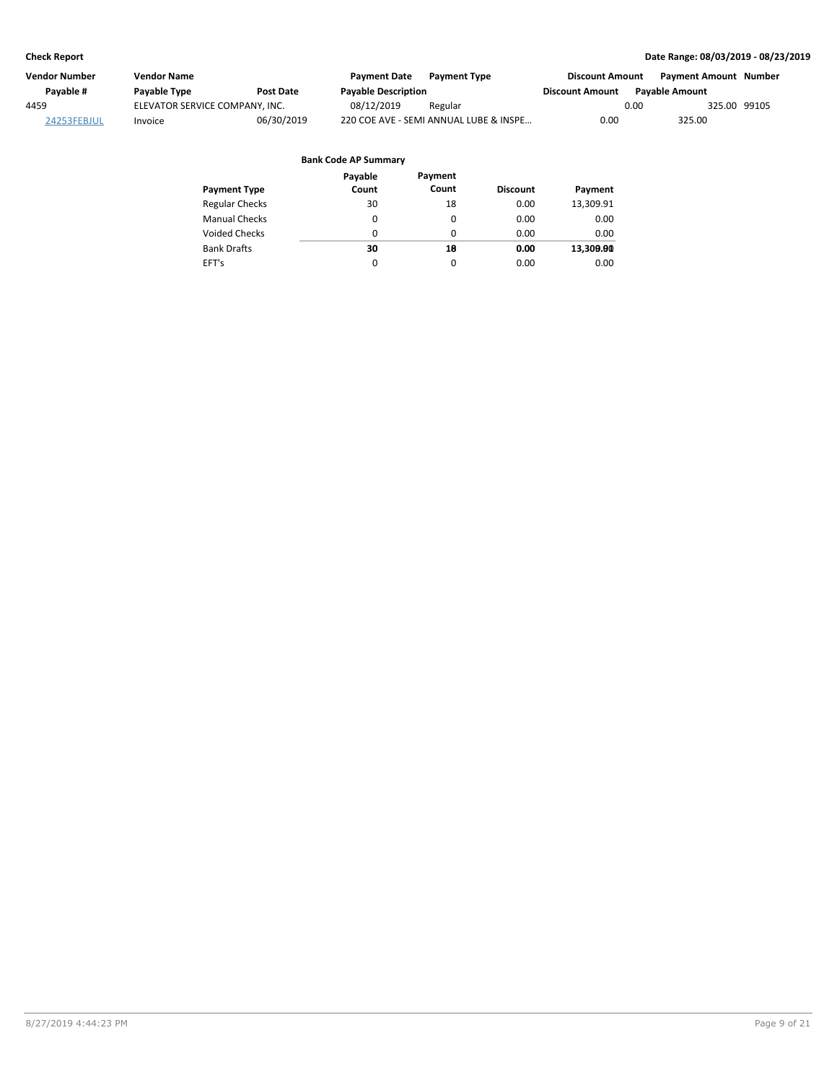| Vendor Number | <b>Vendor Name</b>             |                  | <b>Payment Date</b>        | <b>Payment Type</b>                    | <b>Discount Amount</b> |                       | <b>Payment Amount Number</b> |  |
|---------------|--------------------------------|------------------|----------------------------|----------------------------------------|------------------------|-----------------------|------------------------------|--|
| Pavable #     | <b>Pavable Type</b>            | <b>Post Date</b> | <b>Payable Description</b> |                                        | <b>Discount Amount</b> | <b>Pavable Amount</b> |                              |  |
| 4459          | ELEVATOR SERVICE COMPANY, INC. |                  | 08/12/2019                 | Regular                                |                        | 0.00                  | 325.00 99105                 |  |
| 24253FEBJUL   | Invoice                        | 06/30/2019       |                            | 220 COE AVE - SEMI ANNUAL LUBE & INSPE | 0.00                   | 325.00                |                              |  |

| <b>Payment Type</b>   | Payable<br>Count | Payment<br>Count | <b>Discount</b> | Payment   |
|-----------------------|------------------|------------------|-----------------|-----------|
| <b>Regular Checks</b> | 30               | 18               | 0.00            | 13,309.91 |
| <b>Manual Checks</b>  | 0                | 0                | 0.00            | 0.00      |
| <b>Voided Checks</b>  | 0                | 0                | 0.00            | 0.00      |
| <b>Bank Drafts</b>    | 30               | 18               | 0.00            | 13,309.90 |
| EFT's                 | $\Omega$         | 0                | 0.00            | 0.00      |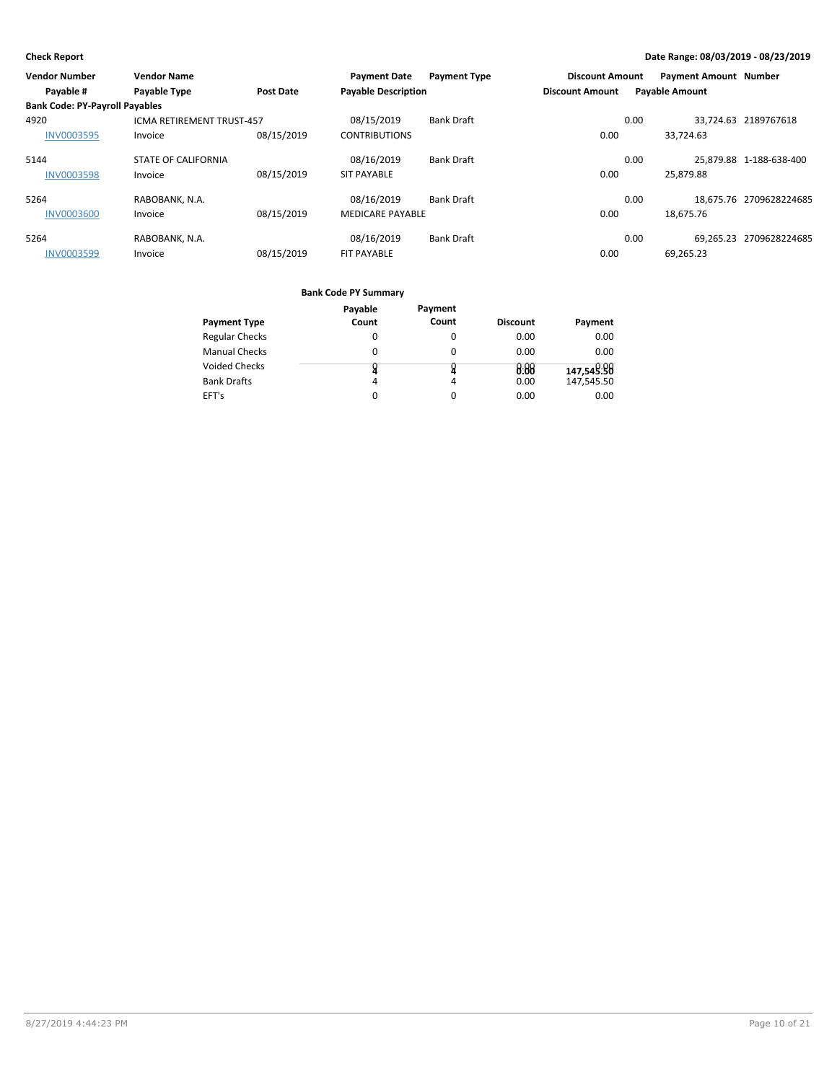| <b>Vendor Number</b>                  | <b>Vendor Name</b>               |                  | <b>Payment Date</b>        | <b>Payment Type</b> | <b>Discount Amount</b> |      | <b>Payment Amount Number</b> |                         |
|---------------------------------------|----------------------------------|------------------|----------------------------|---------------------|------------------------|------|------------------------------|-------------------------|
| Payable #                             | Payable Type                     | <b>Post Date</b> | <b>Payable Description</b> |                     | <b>Discount Amount</b> |      | <b>Payable Amount</b>        |                         |
| <b>Bank Code: PY-Payroll Payables</b> |                                  |                  |                            |                     |                        |      |                              |                         |
| 4920                                  | <b>ICMA RETIREMENT TRUST-457</b> |                  | 08/15/2019                 | <b>Bank Draft</b>   |                        | 0.00 |                              | 33.724.63 2189767618    |
| <b>INV0003595</b>                     | Invoice                          | 08/15/2019       | <b>CONTRIBUTIONS</b>       |                     | 0.00                   |      | 33,724.63                    |                         |
| 5144                                  | <b>STATE OF CALIFORNIA</b>       |                  | 08/16/2019                 | <b>Bank Draft</b>   |                        | 0.00 |                              | 25.879.88 1-188-638-400 |
| <b>INV0003598</b>                     | Invoice                          | 08/15/2019       | <b>SIT PAYABLE</b>         |                     | 0.00                   |      | 25,879.88                    |                         |
| 5264                                  | RABOBANK, N.A.                   |                  | 08/16/2019                 | <b>Bank Draft</b>   |                        | 0.00 |                              | 18.675.76 2709628224685 |
| <b>INV0003600</b>                     | Invoice                          | 08/15/2019       | <b>MEDICARE PAYABLE</b>    |                     | 0.00                   |      | 18.675.76                    |                         |
| 5264                                  | RABOBANK, N.A.                   |                  | 08/16/2019                 | <b>Bank Draft</b>   |                        | 0.00 |                              | 69.265.23 2709628224685 |
| <b>INV0003599</b>                     | Invoice                          | 08/15/2019       | <b>FIT PAYABLE</b>         |                     | 0.00                   |      | 69,265.23                    |                         |

|                       | Payable | Payment  |                 |            |
|-----------------------|---------|----------|-----------------|------------|
| <b>Payment Type</b>   | Count   | Count    | <b>Discount</b> | Payment    |
| <b>Regular Checks</b> | 0       | 0        | 0.00            | 0.00       |
| <b>Manual Checks</b>  | 0       | $\Omega$ | 0.00            | 0.00       |
| <b>Voided Checks</b>  |         |          | 0.88            | 147,549:98 |
| <b>Bank Drafts</b>    | 4       | 4        | 0.00            | 147,545.50 |
| EFT's                 | 0       | 0        | 0.00            | 0.00       |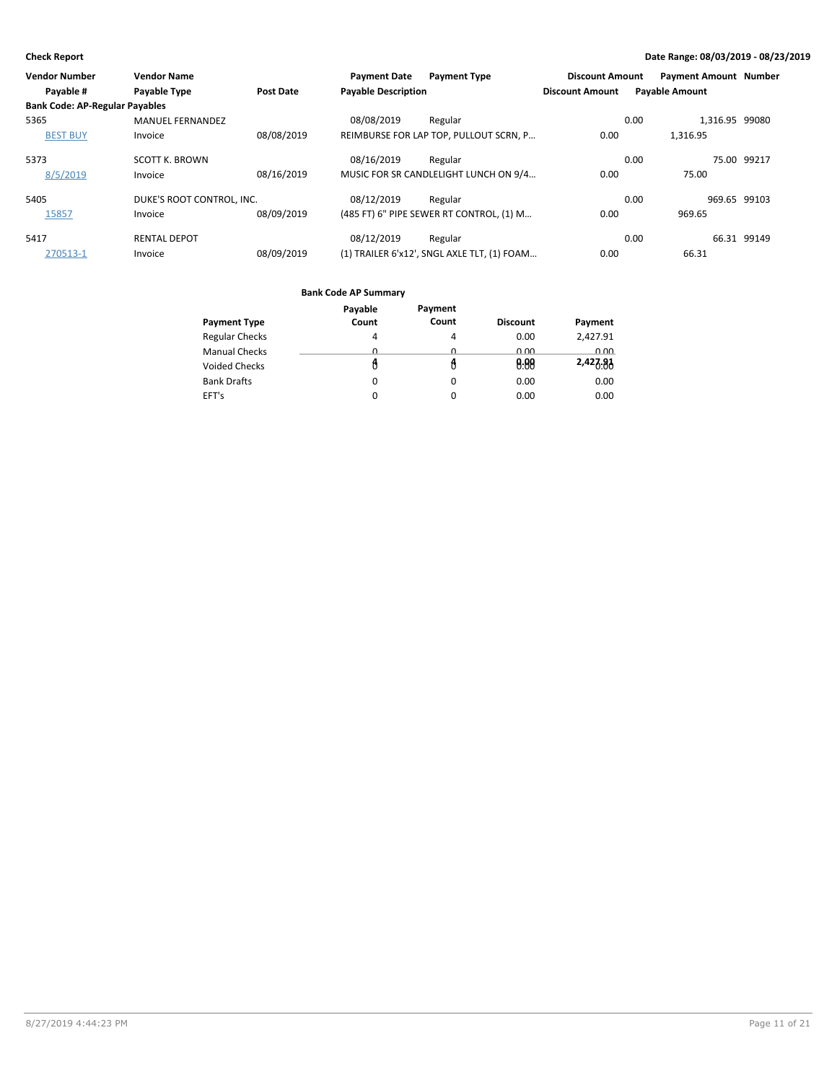| <b>Vendor Number</b>                  | <b>Vendor Name</b>        |                  | <b>Payment Date</b>        | <b>Payment Type</b>                         | <b>Discount Amount</b> | <b>Payment Amount Number</b> |              |
|---------------------------------------|---------------------------|------------------|----------------------------|---------------------------------------------|------------------------|------------------------------|--------------|
| Payable #                             | <b>Payable Type</b>       | <b>Post Date</b> | <b>Payable Description</b> |                                             | <b>Discount Amount</b> | <b>Payable Amount</b>        |              |
| <b>Bank Code: AP-Regular Payables</b> |                           |                  |                            |                                             |                        |                              |              |
| 5365                                  | <b>MANUEL FERNANDEZ</b>   |                  | 08/08/2019                 | Regular                                     |                        | 1,316.95 99080<br>0.00       |              |
| <b>BEST BUY</b>                       | Invoice                   | 08/08/2019       |                            | REIMBURSE FOR LAP TOP, PULLOUT SCRN, P      | 0.00                   | 1.316.95                     |              |
| 5373                                  | <b>SCOTT K. BROWN</b>     |                  | 08/16/2019                 | Regular                                     |                        | 0.00                         | 75.00 99217  |
| 8/5/2019                              | Invoice                   | 08/16/2019       |                            | MUSIC FOR SR CANDLELIGHT LUNCH ON 9/4       | 0.00                   | 75.00                        |              |
| 5405                                  | DUKE'S ROOT CONTROL. INC. |                  | 08/12/2019                 | Regular                                     |                        | 0.00                         | 969.65 99103 |
| 15857                                 | Invoice                   | 08/09/2019       |                            | (485 FT) 6" PIPE SEWER RT CONTROL, (1) M    | 0.00                   | 969.65                       |              |
| 5417                                  | <b>RENTAL DEPOT</b>       |                  | 08/12/2019                 | Regular                                     |                        | 0.00                         | 66.31 99149  |
| 270513-1                              | Invoice                   | 08/09/2019       |                            | (1) TRAILER 6'x12', SNGL AXLE TLT, (1) FOAM | 0.00                   | 66.31                        |              |

|                       | Payable | Payment |                 |          |
|-----------------------|---------|---------|-----------------|----------|
| <b>Payment Type</b>   | Count   | Count   | <b>Discount</b> | Payment  |
| <b>Regular Checks</b> | 4       | 4       | 0.00            | 2,427.91 |
| <b>Manual Checks</b>  | Ω       | U       | 0.00            | 0.00     |
| <b>Voided Checks</b>  |         |         | 0.00            | 2,427.91 |
| <b>Bank Drafts</b>    | 0       | 0       | 0.00            | 0.00     |
| EFT's                 | 0       | 0       | 0.00            | 0.00     |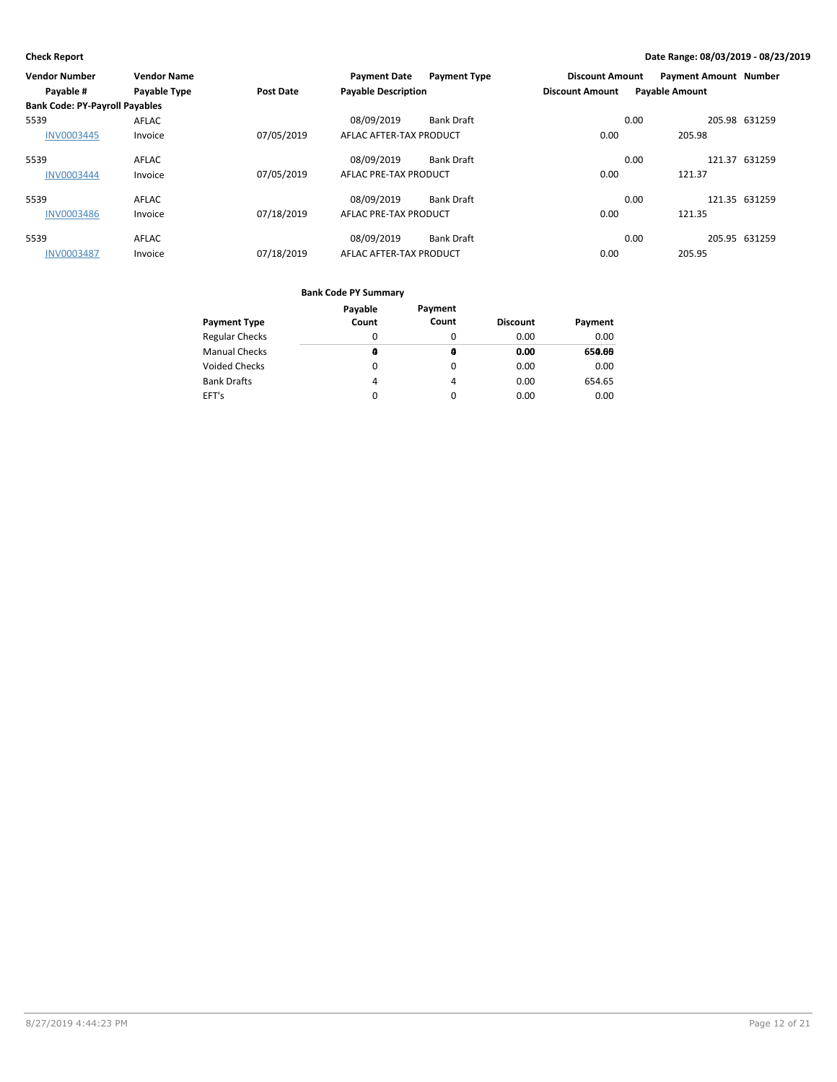| Vendor Number                         | <b>Vendor Name</b> |            | <b>Payment Date</b>        | <b>Payment Type</b> | <b>Discount Amount</b> |                       | <b>Payment Amount Number</b> |               |
|---------------------------------------|--------------------|------------|----------------------------|---------------------|------------------------|-----------------------|------------------------------|---------------|
| Payable #                             | Payable Type       | Post Date  | <b>Payable Description</b> |                     | <b>Discount Amount</b> | <b>Payable Amount</b> |                              |               |
| <b>Bank Code: PY-Payroll Payables</b> |                    |            |                            |                     |                        |                       |                              |               |
| 5539                                  | AFLAC              |            | 08/09/2019                 | <b>Bank Draft</b>   |                        | 0.00                  |                              | 205.98 631259 |
| <b>INV0003445</b>                     | Invoice            | 07/05/2019 | AFLAC AFTER-TAX PRODUCT    |                     | 0.00                   |                       | 205.98                       |               |
| 5539                                  | <b>AFLAC</b>       |            | 08/09/2019                 | <b>Bank Draft</b>   |                        | 0.00                  |                              | 121.37 631259 |
| <b>INV0003444</b>                     | Invoice            | 07/05/2019 | AFLAC PRE-TAX PRODUCT      |                     | 0.00                   |                       | 121.37                       |               |
| 5539                                  | <b>AFLAC</b>       |            | 08/09/2019                 | <b>Bank Draft</b>   |                        | 0.00                  |                              | 121.35 631259 |
| <b>INV0003486</b>                     | Invoice            | 07/18/2019 | AFLAC PRE-TAX PRODUCT      |                     | 0.00                   |                       | 121.35                       |               |
| 5539                                  | <b>AFLAC</b>       |            | 08/09/2019                 | <b>Bank Draft</b>   |                        | 0.00                  |                              | 205.95 631259 |
| <b>INV0003487</b>                     | Invoice            | 07/18/2019 | AFLAC AFTER-TAX PRODUCT    |                     | 0.00                   |                       | 205.95                       |               |

|                       | Payable | Payment |                 |         |
|-----------------------|---------|---------|-----------------|---------|
| <b>Payment Type</b>   | Count   | Count   | <b>Discount</b> | Payment |
| <b>Regular Checks</b> | 0       | 0       | 0.00            | 0.00    |
| <b>Manual Checks</b>  | A       | a       | 0.00            | 650.66  |
| <b>Voided Checks</b>  | 0       | 0       | 0.00            | 0.00    |
| <b>Bank Drafts</b>    | 4       | 4       | 0.00            | 654.65  |
| EFT's                 | 0       | 0       | 0.00            | 0.00    |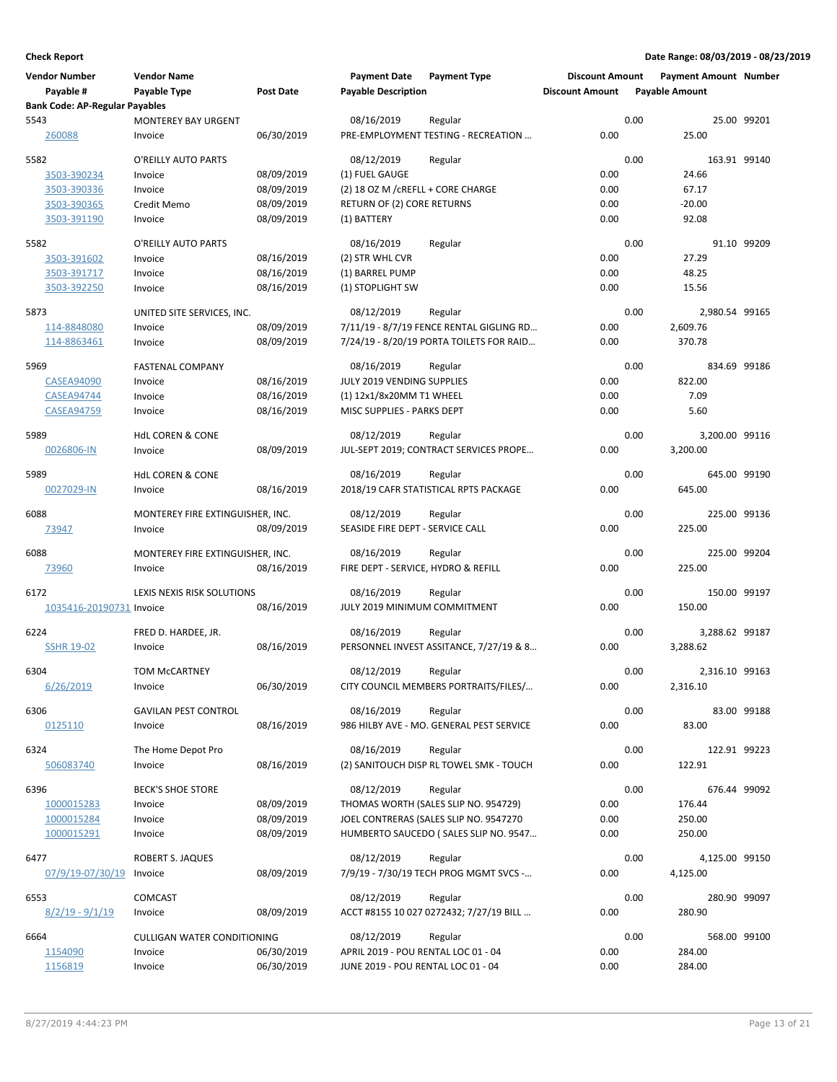| <b>Vendor Number</b>                  | <b>Vendor Name</b>               |                  | <b>Payment Date</b>                 | <b>Payment Type</b>                      | <b>Discount Amount</b> | <b>Payment Amount Number</b> |              |
|---------------------------------------|----------------------------------|------------------|-------------------------------------|------------------------------------------|------------------------|------------------------------|--------------|
| Payable #                             | Payable Type                     | <b>Post Date</b> | <b>Payable Description</b>          |                                          | <b>Discount Amount</b> | <b>Payable Amount</b>        |              |
| <b>Bank Code: AP-Regular Payables</b> |                                  |                  |                                     |                                          |                        |                              |              |
| 5543                                  | <b>MONTEREY BAY URGENT</b>       |                  | 08/16/2019                          | Regular                                  |                        | 0.00                         | 25.00 99201  |
| 260088                                | Invoice                          | 06/30/2019       |                                     | PRE-EMPLOYMENT TESTING - RECREATION      | 0.00                   | 25.00                        |              |
| 5582                                  | O'REILLY AUTO PARTS              |                  | 08/12/2019                          | Regular                                  |                        | 0.00                         | 163.91 99140 |
| 3503-390234                           | Invoice                          | 08/09/2019       | (1) FUEL GAUGE                      |                                          | 0.00                   | 24.66                        |              |
| 3503-390336                           | Invoice                          | 08/09/2019       | (2) 18 OZ M / cREFLL + CORE CHARGE  |                                          | 0.00                   | 67.17                        |              |
| 3503-390365                           | Credit Memo                      | 08/09/2019       | RETURN OF (2) CORE RETURNS          |                                          | 0.00                   | $-20.00$                     |              |
| 3503-391190                           | Invoice                          | 08/09/2019       | (1) BATTERY                         |                                          | 0.00                   | 92.08                        |              |
| 5582                                  | O'REILLY AUTO PARTS              |                  | 08/16/2019                          | Regular                                  |                        | 0.00                         | 91.10 99209  |
| 3503-391602                           | Invoice                          | 08/16/2019       | (2) STR WHL CVR                     |                                          | 0.00                   | 27.29                        |              |
| 3503-391717                           | Invoice                          | 08/16/2019       | (1) BARREL PUMP                     |                                          | 0.00                   | 48.25                        |              |
| 3503-392250                           | Invoice                          | 08/16/2019       | (1) STOPLIGHT SW                    |                                          | 0.00                   | 15.56                        |              |
| 5873                                  | UNITED SITE SERVICES, INC.       |                  | 08/12/2019                          | Regular                                  |                        | 0.00<br>2,980.54 99165       |              |
| 114-8848080                           | Invoice                          | 08/09/2019       |                                     | 7/11/19 - 8/7/19 FENCE RENTAL GIGLING RD | 0.00                   | 2,609.76                     |              |
| 114-8863461                           | Invoice                          | 08/09/2019       |                                     | 7/24/19 - 8/20/19 PORTA TOILETS FOR RAID | 0.00                   | 370.78                       |              |
| 5969                                  | <b>FASTENAL COMPANY</b>          |                  | 08/16/2019                          | Regular                                  |                        | 0.00                         | 834.69 99186 |
| <b>CASEA94090</b>                     | Invoice                          | 08/16/2019       | JULY 2019 VENDING SUPPLIES          |                                          | 0.00                   | 822.00                       |              |
| <b>CASEA94744</b>                     | Invoice                          | 08/16/2019       | (1) 12x1/8x20MM T1 WHEEL            |                                          | 0.00                   | 7.09                         |              |
| <b>CASEA94759</b>                     | Invoice                          | 08/16/2019       | MISC SUPPLIES - PARKS DEPT          |                                          | 0.00                   | 5.60                         |              |
| 5989                                  | <b>HdL COREN &amp; CONE</b>      |                  | 08/12/2019                          | Regular                                  |                        | 0.00<br>3,200.00 99116       |              |
| 0026806-IN                            | Invoice                          | 08/09/2019       |                                     | JUL-SEPT 2019; CONTRACT SERVICES PROPE   | 0.00                   | 3,200.00                     |              |
| 5989                                  | <b>HdL COREN &amp; CONE</b>      |                  | 08/16/2019                          | Regular                                  |                        | 0.00                         | 645.00 99190 |
| 0027029-IN                            | Invoice                          | 08/16/2019       |                                     | 2018/19 CAFR STATISTICAL RPTS PACKAGE    | 0.00                   | 645.00                       |              |
| 6088                                  | MONTEREY FIRE EXTINGUISHER, INC. |                  | 08/12/2019                          | Regular                                  |                        | 0.00                         | 225.00 99136 |
| 73947                                 | Invoice                          | 08/09/2019       | SEASIDE FIRE DEPT - SERVICE CALL    |                                          | 0.00                   | 225.00                       |              |
|                                       |                                  |                  |                                     |                                          |                        |                              |              |
| 6088                                  | MONTEREY FIRE EXTINGUISHER, INC. |                  | 08/16/2019                          | Regular                                  |                        | 0.00                         | 225.00 99204 |
| 73960                                 | Invoice                          | 08/16/2019       | FIRE DEPT - SERVICE, HYDRO & REFILL |                                          | 0.00                   | 225.00                       |              |
| 6172                                  | LEXIS NEXIS RISK SOLUTIONS       |                  | 08/16/2019                          | Regular                                  |                        | 0.00                         | 150.00 99197 |
| 1035416-20190731 Invoice              |                                  | 08/16/2019       | <b>JULY 2019 MINIMUM COMMITMENT</b> |                                          | 0.00                   | 150.00                       |              |
| 6224                                  | FRED D. HARDEE, JR.              |                  | 08/16/2019                          | Regular                                  |                        | 0.00<br>3,288.62 99187       |              |
| <b>SSHR 19-02</b>                     | Invoice                          | 08/16/2019       |                                     | PERSONNEL INVEST ASSITANCE, 7/27/19 & 8  | 0.00                   | 3,288.62                     |              |
| 6304                                  | <b>TOM MCCARTNEY</b>             |                  | 08/12/2019                          | Regular                                  |                        | 0.00<br>2,316.10 99163       |              |
| <u>6/26/2019</u>                      | Invoice                          | 06/30/2019       |                                     | CITY COUNCIL MEMBERS PORTRAITS/FILES/    | 0.00                   | 2,316.10                     |              |
|                                       |                                  |                  |                                     |                                          |                        |                              |              |
| 6306                                  | <b>GAVILAN PEST CONTROL</b>      |                  | 08/16/2019                          | Regular                                  |                        | 0.00                         | 83.00 99188  |
| 0125110                               | Invoice                          | 08/16/2019       |                                     | 986 HILBY AVE - MO. GENERAL PEST SERVICE | 0.00                   | 83.00                        |              |
| 6324                                  | The Home Depot Pro               |                  | 08/16/2019                          | Regular                                  |                        | 0.00                         | 122.91 99223 |
| 506083740                             | Invoice                          | 08/16/2019       |                                     | (2) SANITOUCH DISP RL TOWEL SMK - TOUCH  | 0.00                   | 122.91                       |              |
| 6396                                  | <b>BECK'S SHOE STORE</b>         |                  | 08/12/2019                          | Regular                                  |                        | 0.00                         | 676.44 99092 |
| 1000015283                            | Invoice                          | 08/09/2019       |                                     | THOMAS WORTH (SALES SLIP NO. 954729)     | 0.00                   | 176.44                       |              |
| 1000015284                            | Invoice                          | 08/09/2019       |                                     | JOEL CONTRERAS (SALES SLIP NO. 9547270   | 0.00                   | 250.00                       |              |
| 1000015291                            | Invoice                          | 08/09/2019       |                                     | HUMBERTO SAUCEDO (SALES SLIP NO. 9547    | 0.00                   | 250.00                       |              |
| 6477                                  | ROBERT S. JAQUES                 |                  | 08/12/2019                          | Regular                                  |                        | 0.00<br>4,125.00 99150       |              |
| 07/9/19-07/30/19                      | Invoice                          | 08/09/2019       |                                     | 7/9/19 - 7/30/19 TECH PROG MGMT SVCS -   | 0.00                   | 4,125.00                     |              |
| 6553                                  | COMCAST                          |                  | 08/12/2019                          | Regular                                  |                        | 0.00                         | 280.90 99097 |
| $8/2/19 - 9/1/19$                     | Invoice                          | 08/09/2019       |                                     | ACCT #8155 10 027 0272432; 7/27/19 BILL  | 0.00                   | 280.90                       |              |
|                                       |                                  |                  |                                     |                                          |                        |                              |              |
| 6664                                  | CULLIGAN WATER CONDITIONING      |                  | 08/12/2019                          | Regular                                  |                        | 0.00                         | 568.00 99100 |
| 1154090                               | Invoice                          | 06/30/2019       | APRIL 2019 - POU RENTAL LOC 01 - 04 |                                          | 0.00                   | 284.00                       |              |
| 1156819                               | Invoice                          | 06/30/2019       | JUNE 2019 - POU RENTAL LOC 01 - 04  |                                          | 0.00                   | 284.00                       |              |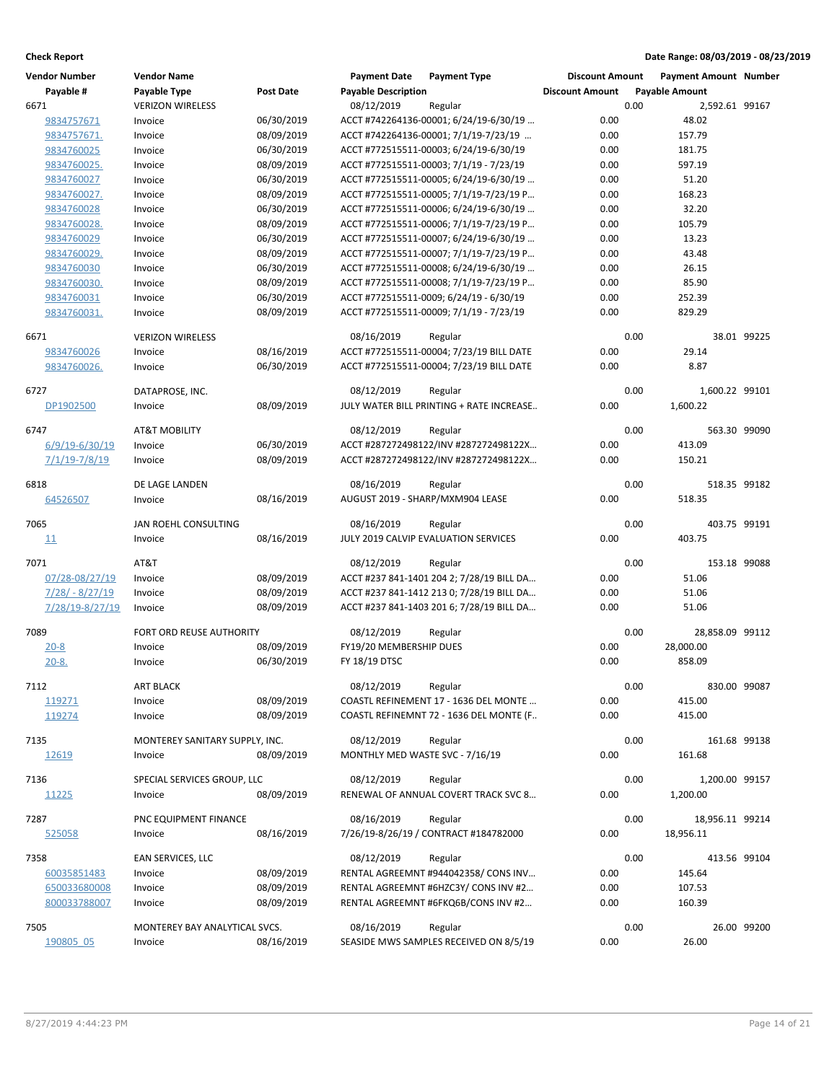| <b>Vendor Number</b> | <b>Vendor Name</b>             |                  | <b>Payment Date</b>             | <b>Payment Type</b>                              | <b>Discount Amount</b> |      | <b>Payment Amount Number</b> |             |
|----------------------|--------------------------------|------------------|---------------------------------|--------------------------------------------------|------------------------|------|------------------------------|-------------|
| Payable #            | Payable Type                   | <b>Post Date</b> | <b>Payable Description</b>      |                                                  | <b>Discount Amount</b> |      | <b>Payable Amount</b>        |             |
| 6671                 | <b>VERIZON WIRELESS</b>        |                  | 08/12/2019                      | Regular                                          |                        | 0.00 | 2,592.61 99167               |             |
| 9834757671           | Invoice                        | 06/30/2019       |                                 | ACCT #742264136-00001; 6/24/19-6/30/19           | 0.00                   |      | 48.02                        |             |
| 9834757671.          | Invoice                        | 08/09/2019       |                                 | ACCT #742264136-00001; 7/1/19-7/23/19            | 0.00                   |      | 157.79                       |             |
| 9834760025           | Invoice                        | 06/30/2019       |                                 | ACCT #772515511-00003; 6/24/19-6/30/19           | 0.00                   |      | 181.75                       |             |
| 9834760025.          | Invoice                        | 08/09/2019       |                                 | ACCT #772515511-00003; 7/1/19 - 7/23/19          | 0.00                   |      | 597.19                       |             |
| 9834760027           | Invoice                        | 06/30/2019       |                                 | ACCT #772515511-00005; 6/24/19-6/30/19           | 0.00                   |      | 51.20                        |             |
| 9834760027.          | Invoice                        | 08/09/2019       |                                 | ACCT #772515511-00005; 7/1/19-7/23/19 P          | 0.00                   |      | 168.23                       |             |
| 9834760028           | Invoice                        | 06/30/2019       |                                 | ACCT #772515511-00006; 6/24/19-6/30/19           | 0.00                   |      | 32.20                        |             |
| 9834760028.          | Invoice                        | 08/09/2019       |                                 | ACCT #772515511-00006; 7/1/19-7/23/19 P          | 0.00                   |      | 105.79                       |             |
| 9834760029           | Invoice                        | 06/30/2019       |                                 | ACCT #772515511-00007; 6/24/19-6/30/19           | 0.00                   |      | 13.23                        |             |
| 9834760029.          | Invoice                        | 08/09/2019       |                                 | ACCT #772515511-00007; 7/1/19-7/23/19 P          | 0.00                   |      | 43.48                        |             |
| 9834760030           | Invoice                        | 06/30/2019       |                                 | ACCT #772515511-00008; 6/24/19-6/30/19           | 0.00                   |      | 26.15                        |             |
| 9834760030.          | Invoice                        | 08/09/2019       |                                 | ACCT #772515511-00008; 7/1/19-7/23/19 P          | 0.00                   |      | 85.90                        |             |
| 9834760031           | Invoice                        | 06/30/2019       |                                 | ACCT #772515511-0009; 6/24/19 - 6/30/19          | 0.00                   |      | 252.39                       |             |
| 9834760031.          | Invoice                        | 08/09/2019       |                                 | ACCT #772515511-00009; 7/1/19 - 7/23/19          | 0.00                   |      | 829.29                       |             |
|                      |                                |                  |                                 |                                                  |                        |      |                              |             |
| 6671                 | <b>VERIZON WIRELESS</b>        |                  | 08/16/2019                      | Regular                                          |                        | 0.00 |                              | 38.01 99225 |
| 9834760026           | Invoice                        | 08/16/2019       |                                 | ACCT #772515511-00004; 7/23/19 BILL DATE         | 0.00                   |      | 29.14                        |             |
| 9834760026.          | Invoice                        | 06/30/2019       |                                 | ACCT #772515511-00004; 7/23/19 BILL DATE         | 0.00                   |      | 8.87                         |             |
|                      |                                |                  |                                 |                                                  |                        |      |                              |             |
| 6727                 | DATAPROSE, INC.                |                  | 08/12/2019                      | Regular                                          |                        | 0.00 | 1,600.22 99101               |             |
| DP1902500            | Invoice                        | 08/09/2019       |                                 | JULY WATER BILL PRINTING + RATE INCREASE         | 0.00                   |      | 1,600.22                     |             |
| 6747                 | <b>AT&amp;T MOBILITY</b>       |                  | 08/12/2019                      |                                                  |                        | 0.00 | 563.30 99090                 |             |
| 6/9/19-6/30/19       | Invoice                        | 06/30/2019       |                                 | Regular<br>ACCT #287272498122/INV #287272498122X | 0.00                   |      | 413.09                       |             |
|                      |                                |                  |                                 |                                                  |                        |      |                              |             |
| $7/1/19 - 7/8/19$    | Invoice                        | 08/09/2019       |                                 | ACCT #287272498122/INV #287272498122X            | 0.00                   |      | 150.21                       |             |
| 6818                 | DE LAGE LANDEN                 |                  | 08/16/2019                      | Regular                                          |                        | 0.00 | 518.35 99182                 |             |
| 64526507             | Invoice                        | 08/16/2019       |                                 | AUGUST 2019 - SHARP/MXM904 LEASE                 | 0.00                   |      | 518.35                       |             |
|                      |                                |                  |                                 |                                                  |                        |      |                              |             |
| 7065                 | JAN ROEHL CONSULTING           |                  | 08/16/2019                      | Regular                                          |                        | 0.00 | 403.75 99191                 |             |
| 11                   | Invoice                        | 08/16/2019       |                                 | JULY 2019 CALVIP EVALUATION SERVICES             | 0.00                   |      | 403.75                       |             |
|                      |                                |                  |                                 |                                                  |                        |      |                              |             |
| 7071                 | AT&T                           |                  | 08/12/2019                      | Regular                                          |                        | 0.00 | 153.18 99088                 |             |
| 07/28-08/27/19       | Invoice                        | 08/09/2019       |                                 | ACCT #237 841-1401 204 2; 7/28/19 BILL DA        | 0.00                   |      | 51.06                        |             |
| $7/28/ - 8/27/19$    | Invoice                        | 08/09/2019       |                                 | ACCT #237 841-1412 213 0; 7/28/19 BILL DA        | 0.00                   |      | 51.06                        |             |
| 7/28/19-8/27/19      | Invoice                        | 08/09/2019       |                                 | ACCT #237 841-1403 201 6; 7/28/19 BILL DA        | 0.00                   |      | 51.06                        |             |
| 7089                 | FORT ORD REUSE AUTHORITY       |                  | 08/12/2019                      | Regular                                          |                        | 0.00 | 28,858.09 99112              |             |
| $20 - 8$             | Invoice                        | 08/09/2019       | FY19/20 MEMBERSHIP DUES         |                                                  | 0.00                   |      | 28,000.00                    |             |
| $20 - 8.$            | Invoice                        | 06/30/2019       | FY 18/19 DTSC                   |                                                  | 0.00                   |      | 858.09                       |             |
|                      |                                |                  |                                 |                                                  |                        |      |                              |             |
| 7112                 | <b>ART BLACK</b>               |                  | 08/12/2019                      | Regular                                          |                        | 0.00 | 830.00 99087                 |             |
| 119271               | Invoice                        | 08/09/2019       |                                 | COASTL REFINEMENT 17 - 1636 DEL MONTE            | 0.00                   |      | 415.00                       |             |
| 119274               | Invoice                        | 08/09/2019       |                                 | COASTL REFINEMNT 72 - 1636 DEL MONTE (F          | 0.00                   |      | 415.00                       |             |
|                      |                                |                  |                                 |                                                  |                        |      |                              |             |
| 7135                 | MONTEREY SANITARY SUPPLY, INC. |                  | 08/12/2019                      | Regular                                          |                        | 0.00 | 161.68 99138                 |             |
| 12619                | Invoice                        | 08/09/2019       | MONTHLY MED WASTE SVC - 7/16/19 |                                                  | 0.00                   |      | 161.68                       |             |
| 7136                 | SPECIAL SERVICES GROUP, LLC    |                  | 08/12/2019                      | Regular                                          |                        | 0.00 | 1,200.00 99157               |             |
| 11225                | Invoice                        | 08/09/2019       |                                 | RENEWAL OF ANNUAL COVERT TRACK SVC 8             | 0.00                   |      | 1,200.00                     |             |
|                      |                                |                  |                                 |                                                  |                        |      |                              |             |
| 7287                 | PNC EQUIPMENT FINANCE          |                  | 08/16/2019                      | Regular                                          |                        | 0.00 | 18,956.11 99214              |             |
| <u>525058</u>        | Invoice                        | 08/16/2019       |                                 | 7/26/19-8/26/19 / CONTRACT #184782000            | 0.00                   |      | 18,956.11                    |             |
|                      |                                |                  |                                 |                                                  |                        |      |                              |             |
| 7358                 | EAN SERVICES, LLC              |                  | 08/12/2019                      | Regular                                          |                        | 0.00 | 413.56 99104                 |             |
| 60035851483          | Invoice                        | 08/09/2019       |                                 | RENTAL AGREEMNT #944042358/ CONS INV             | 0.00                   |      | 145.64                       |             |
| 650033680008         | Invoice                        | 08/09/2019       |                                 | RENTAL AGREEMNT #6HZC3Y/ CONS INV #2             | 0.00                   |      | 107.53                       |             |
| 800033788007         | Invoice                        | 08/09/2019       |                                 | RENTAL AGREEMNT #6FKQ6B/CONS INV #2              | 0.00                   |      | 160.39                       |             |
|                      |                                |                  |                                 |                                                  |                        |      |                              |             |
| 7505                 | MONTEREY BAY ANALYTICAL SVCS.  |                  | 08/16/2019                      | Regular                                          |                        | 0.00 |                              | 26.00 99200 |
| 190805 05            | Invoice                        | 08/16/2019       |                                 | SEASIDE MWS SAMPLES RECEIVED ON 8/5/19           | 0.00                   |      | 26.00                        |             |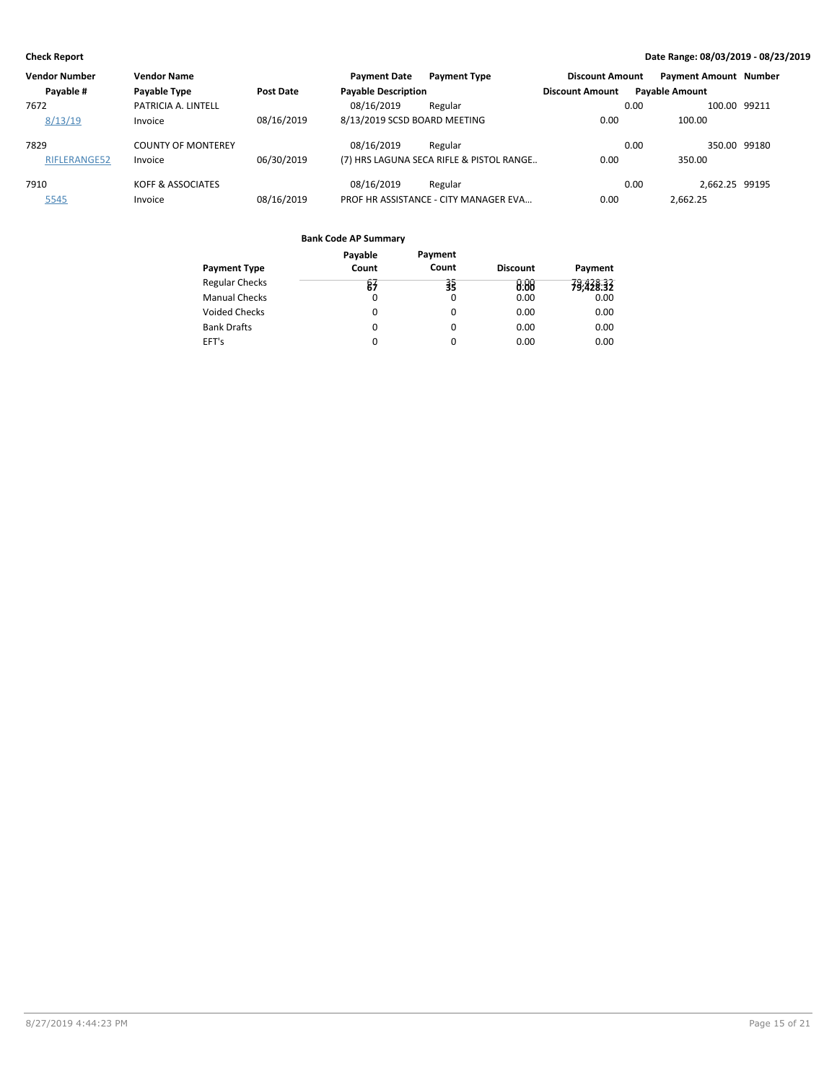| <b>Vendor Number</b> | <b>Vendor Name</b>        |            | <b>Payment Date</b>          | <b>Payment Type</b>                      | <b>Discount Amount</b> |      | <b>Payment Amount Number</b> |  |
|----------------------|---------------------------|------------|------------------------------|------------------------------------------|------------------------|------|------------------------------|--|
| Payable #            | Payable Type              | Post Date  | <b>Payable Description</b>   |                                          | <b>Discount Amount</b> |      | <b>Payable Amount</b>        |  |
| 7672                 | PATRICIA A. LINTELL       |            | 08/16/2019                   | Regular                                  |                        | 0.00 | 100.00 99211                 |  |
| 8/13/19              | Invoice                   | 08/16/2019 | 8/13/2019 SCSD BOARD MEETING |                                          | 0.00                   |      | 100.00                       |  |
| 7829                 | <b>COUNTY OF MONTEREY</b> |            | 08/16/2019                   | Regular                                  |                        | 0.00 | 350.00 99180                 |  |
| RIFLERANGE52         | Invoice                   | 06/30/2019 |                              | (7) HRS LAGUNA SECA RIFLE & PISTOL RANGE | 0.00                   |      | 350.00                       |  |
| 7910                 | KOFF & ASSOCIATES         |            | 08/16/2019                   | Regular                                  |                        | 0.00 | 2.662.25 99195               |  |
| 5545                 | Invoice                   | 08/16/2019 |                              | PROF HR ASSISTANCE - CITY MANAGER EVA    | 0.00                   |      | 2.662.25                     |  |

|                       | Payable  | Payment |                 |           |
|-----------------------|----------|---------|-----------------|-----------|
| <b>Payment Type</b>   | Count    | Count   | <b>Discount</b> | Payment   |
| <b>Regular Checks</b> | 81       | 弱       | 8.88            | 79,428.32 |
| <b>Manual Checks</b>  | 0        | 0       | 0.00            | 0.00      |
| <b>Voided Checks</b>  | 0        | 0       | 0.00            | 0.00      |
| <b>Bank Drafts</b>    | $\Omega$ | 0       | 0.00            | 0.00      |
| EFT's                 | $\Omega$ | 0       | 0.00            | 0.00      |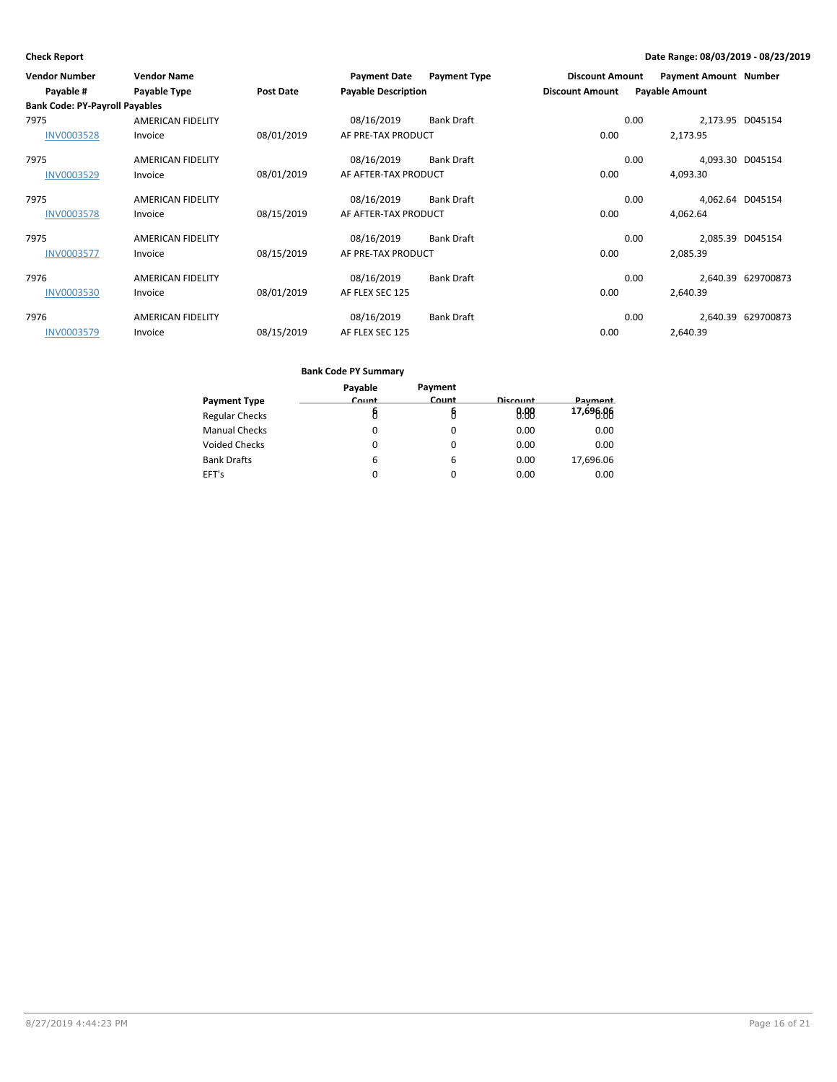| <b>Vendor Number</b><br>Payable #     | <b>Vendor Name</b><br><b>Payable Type</b> | Post Date  | <b>Payment Date</b><br><b>Payable Description</b> | <b>Payment Type</b> | <b>Discount Amount</b><br><b>Discount Amount</b> |      | <b>Payment Amount Number</b><br><b>Payable Amount</b> |                    |
|---------------------------------------|-------------------------------------------|------------|---------------------------------------------------|---------------------|--------------------------------------------------|------|-------------------------------------------------------|--------------------|
| <b>Bank Code: PY-Payroll Payables</b> |                                           |            |                                                   |                     |                                                  |      |                                                       |                    |
| 7975                                  | <b>AMERICAN FIDELITY</b>                  |            | 08/16/2019                                        | <b>Bank Draft</b>   |                                                  | 0.00 | 2,173.95 D045154                                      |                    |
| <b>INV0003528</b>                     | Invoice                                   | 08/01/2019 | AF PRE-TAX PRODUCT                                |                     | 0.00                                             |      | 2,173.95                                              |                    |
| 7975                                  | <b>AMERICAN FIDELITY</b>                  |            | 08/16/2019                                        | <b>Bank Draft</b>   |                                                  | 0.00 | 4,093.30 D045154                                      |                    |
| INV0003529                            | Invoice                                   | 08/01/2019 | AF AFTER-TAX PRODUCT                              |                     | 0.00                                             |      | 4,093.30                                              |                    |
| 7975                                  | <b>AMERICAN FIDELITY</b>                  |            | 08/16/2019                                        | <b>Bank Draft</b>   |                                                  | 0.00 | 4,062.64 D045154                                      |                    |
| <b>INV0003578</b>                     | Invoice                                   | 08/15/2019 | AF AFTER-TAX PRODUCT                              |                     | 0.00                                             |      | 4,062.64                                              |                    |
| 7975                                  | <b>AMERICAN FIDELITY</b>                  |            | 08/16/2019                                        | <b>Bank Draft</b>   |                                                  | 0.00 |                                                       | 2,085.39 D045154   |
| <b>INV0003577</b>                     | Invoice                                   | 08/15/2019 | AF PRE-TAX PRODUCT                                |                     | 0.00                                             |      | 2,085.39                                              |                    |
| 7976                                  | <b>AMERICAN FIDELITY</b>                  |            | 08/16/2019                                        | <b>Bank Draft</b>   |                                                  | 0.00 |                                                       | 2,640.39 629700873 |
| <b>INV0003530</b>                     | Invoice                                   | 08/01/2019 | AF FLEX SEC 125                                   |                     | 0.00                                             |      | 2,640.39                                              |                    |
| 7976                                  | <b>AMERICAN FIDELITY</b>                  |            | 08/16/2019                                        | <b>Bank Draft</b>   |                                                  | 0.00 |                                                       | 2,640.39 629700873 |
| INV0003579                            | Invoice                                   | 08/15/2019 | AF FLEX SEC 125                                   |                     | 0.00                                             |      | 2,640.39                                              |                    |

| Payable | Payment  |          |           |
|---------|----------|----------|-----------|
| Count   | Count    | Discount | Payment   |
|         | U        | 0.00     | 17,696.06 |
| O       | 0        | 0.00     | 0.00      |
| O       | 0        | 0.00     | 0.00      |
| 6       | 6        | 0.00     | 17,696.06 |
| 0       | $\Omega$ | 0.00     | 0.00      |
|         |          |          |           |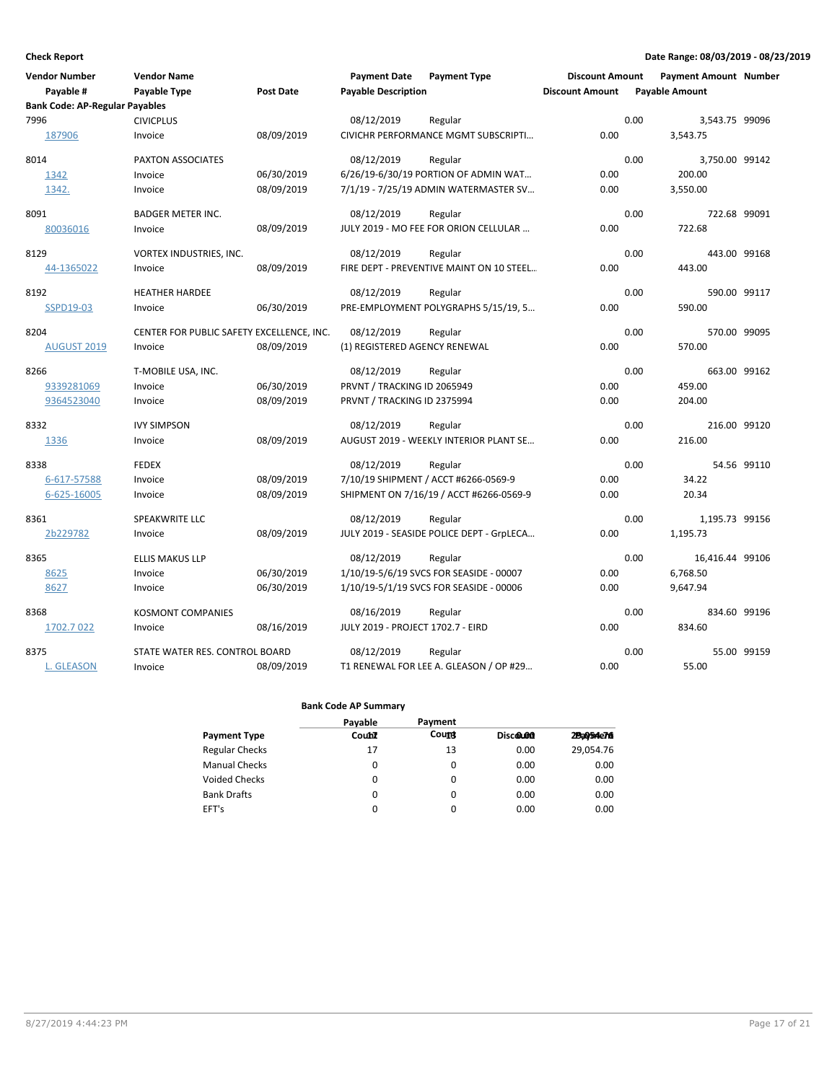| <b>Vendor Number</b>                  | <b>Vendor Name</b>                        |            | <b>Payment Date</b>               | <b>Payment Type</b>                       | <b>Discount Amount</b> | <b>Payment Amount Number</b> |              |
|---------------------------------------|-------------------------------------------|------------|-----------------------------------|-------------------------------------------|------------------------|------------------------------|--------------|
| Payable #                             | Payable Type                              | Post Date  | <b>Payable Description</b>        |                                           | <b>Discount Amount</b> | <b>Payable Amount</b>        |              |
| <b>Bank Code: AP-Regular Payables</b> |                                           |            |                                   |                                           |                        |                              |              |
| 7996                                  | <b>CIVICPLUS</b>                          |            | 08/12/2019                        | Regular                                   |                        | 0.00<br>3,543.75 99096       |              |
| 187906                                | Invoice                                   | 08/09/2019 |                                   | CIVICHR PERFORMANCE MGMT SUBSCRIPTI       | 0.00                   | 3,543.75                     |              |
| 8014                                  | PAXTON ASSOCIATES                         |            | 08/12/2019                        | Regular                                   |                        | 0.00<br>3,750.00 99142       |              |
| 1342                                  | Invoice                                   | 06/30/2019 |                                   | 6/26/19-6/30/19 PORTION OF ADMIN WAT      | 0.00                   | 200.00                       |              |
| 1342.                                 | Invoice                                   | 08/09/2019 |                                   | 7/1/19 - 7/25/19 ADMIN WATERMASTER SV     | 0.00                   | 3,550.00                     |              |
| 8091                                  | <b>BADGER METER INC.</b>                  |            | 08/12/2019                        | Regular                                   |                        | 0.00                         | 722.68 99091 |
| 80036016                              | Invoice                                   | 08/09/2019 |                                   | JULY 2019 - MO FEE FOR ORION CELLULAR     | 0.00                   | 722.68                       |              |
| 8129                                  | VORTEX INDUSTRIES, INC.                   |            | 08/12/2019                        | Regular                                   |                        | 0.00                         | 443.00 99168 |
| 44-1365022                            | Invoice                                   | 08/09/2019 |                                   | FIRE DEPT - PREVENTIVE MAINT ON 10 STEEL  | 0.00                   | 443.00                       |              |
| 8192                                  | <b>HEATHER HARDEE</b>                     |            | 08/12/2019                        | Regular                                   |                        | 0.00                         | 590.00 99117 |
| SSPD19-03                             | Invoice                                   | 06/30/2019 |                                   | PRE-EMPLOYMENT POLYGRAPHS 5/15/19, 5      | 0.00                   | 590.00                       |              |
| 8204                                  | CENTER FOR PUBLIC SAFETY EXCELLENCE, INC. |            | 08/12/2019                        | Regular                                   |                        | 0.00                         | 570.00 99095 |
| <b>AUGUST 2019</b>                    | Invoice                                   | 08/09/2019 | (1) REGISTERED AGENCY RENEWAL     |                                           | 0.00                   | 570.00                       |              |
| 8266                                  | T-MOBILE USA, INC.                        |            | 08/12/2019                        | Regular                                   |                        | 0.00                         | 663.00 99162 |
| 9339281069                            | Invoice                                   | 06/30/2019 | PRVNT / TRACKING ID 2065949       |                                           | 0.00                   | 459.00                       |              |
| 9364523040                            | Invoice                                   | 08/09/2019 | PRVNT / TRACKING ID 2375994       |                                           | 0.00                   | 204.00                       |              |
| 8332                                  | <b>IVY SIMPSON</b>                        |            | 08/12/2019                        | Regular                                   |                        | 0.00                         | 216.00 99120 |
| 1336                                  | Invoice                                   | 08/09/2019 |                                   | AUGUST 2019 - WEEKLY INTERIOR PLANT SE    | 0.00                   | 216.00                       |              |
| 8338                                  | <b>FEDEX</b>                              |            | 08/12/2019                        | Regular                                   |                        | 0.00                         | 54.56 99110  |
| 6-617-57588                           | Invoice                                   | 08/09/2019 |                                   | 7/10/19 SHIPMENT / ACCT #6266-0569-9      | 0.00                   | 34.22                        |              |
| 6-625-16005                           | Invoice                                   | 08/09/2019 |                                   | SHIPMENT ON 7/16/19 / ACCT #6266-0569-9   | 0.00                   | 20.34                        |              |
| 8361                                  | SPEAKWRITE LLC                            |            | 08/12/2019                        | Regular                                   |                        | 0.00<br>1,195.73 99156       |              |
| 2b229782                              | Invoice                                   | 08/09/2019 |                                   | JULY 2019 - SEASIDE POLICE DEPT - GrpLECA | 0.00                   | 1,195.73                     |              |
| 8365                                  | ELLIS MAKUS LLP                           |            | 08/12/2019                        | Regular                                   |                        | 0.00<br>16,416.44 99106      |              |
| 8625                                  | Invoice                                   | 06/30/2019 |                                   | 1/10/19-5/6/19 SVCS FOR SEASIDE - 00007   | 0.00                   | 6,768.50                     |              |
| 8627                                  | Invoice                                   | 06/30/2019 |                                   | 1/10/19-5/1/19 SVCS FOR SEASIDE - 00006   | 0.00                   | 9.647.94                     |              |
| 8368                                  | <b>KOSMONT COMPANIES</b>                  |            | 08/16/2019                        | Regular                                   |                        | 0.00                         | 834.60 99196 |
| 1702.7 022                            | Invoice                                   | 08/16/2019 | JULY 2019 - PROJECT 1702.7 - EIRD |                                           | 0.00                   | 834.60                       |              |
| 8375                                  | STATE WATER RES. CONTROL BOARD            |            | 08/12/2019                        | Regular                                   |                        | 0.00                         | 55.00 99159  |
| <b>L. GLEASON</b>                     | Invoice                                   | 08/09/2019 |                                   | T1 RENEWAL FOR LEE A. GLEASON / OP #29    | 0.00                   | 55.00                        |              |

|                       | Payable | Payment      |          |           |
|-----------------------|---------|--------------|----------|-----------|
| <b>Payment Type</b>   | Count   | <b>Count</b> | Discolon | 29a054e76 |
| <b>Regular Checks</b> | 17      | 13           | 0.00     | 29,054.76 |
| <b>Manual Checks</b>  | 0       | 0            | 0.00     | 0.00      |
| <b>Voided Checks</b>  | 0       | 0            | 0.00     | 0.00      |
| <b>Bank Drafts</b>    | 0       | $\Omega$     | 0.00     | 0.00      |
| EFT's                 | 0       | $\Omega$     | 0.00     | 0.00      |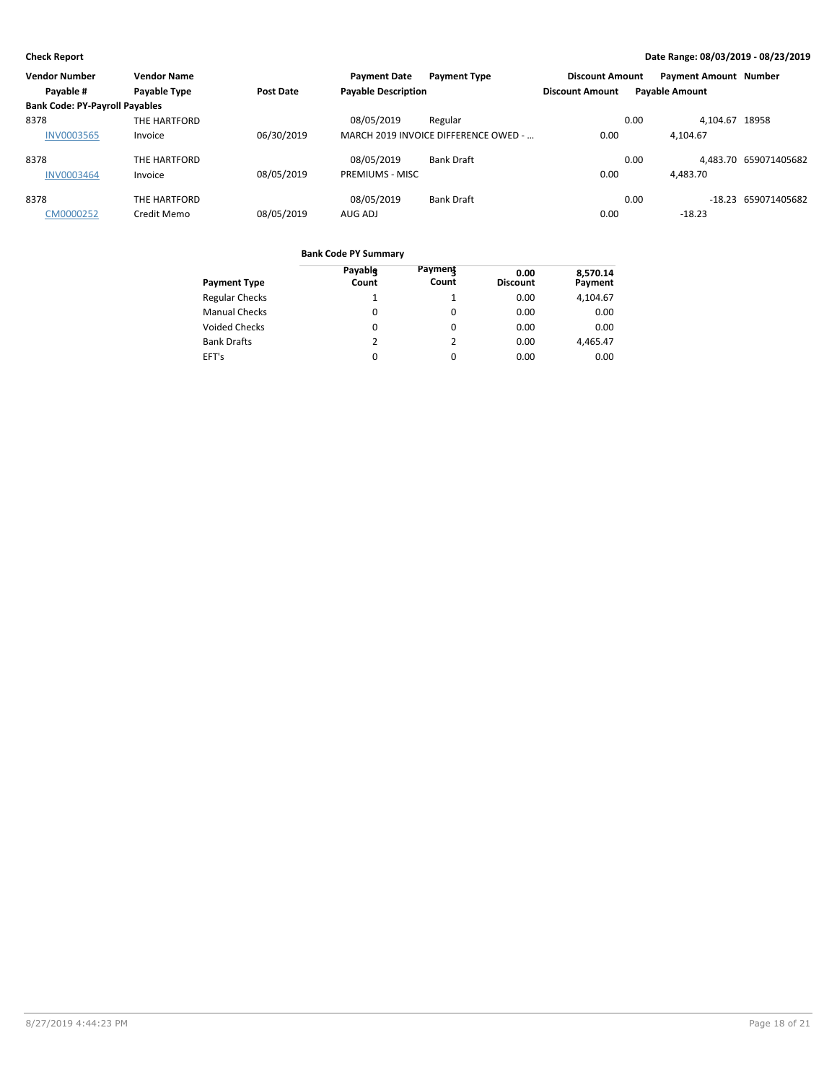| <b>Vendor Number</b>                  | <b>Vendor Name</b> |                  | <b>Payment Date</b>        | <b>Payment Type</b>                  | <b>Discount Amount</b> |                       | <b>Payment Amount Number</b> |                       |
|---------------------------------------|--------------------|------------------|----------------------------|--------------------------------------|------------------------|-----------------------|------------------------------|-----------------------|
| Payable #                             | Payable Type       | <b>Post Date</b> | <b>Payable Description</b> |                                      | <b>Discount Amount</b> | <b>Payable Amount</b> |                              |                       |
| <b>Bank Code: PY-Payroll Payables</b> |                    |                  |                            |                                      |                        |                       |                              |                       |
| 8378                                  | THE HARTFORD       |                  | 08/05/2019                 | Regular                              |                        | 0.00                  | 4.104.67 18958               |                       |
| <b>INV0003565</b>                     | Invoice            | 06/30/2019       |                            | MARCH 2019 INVOICE DIFFERENCE OWED - | 0.00                   |                       | 4.104.67                     |                       |
| 8378                                  | THE HARTFORD       |                  | 08/05/2019                 | <b>Bank Draft</b>                    |                        | 0.00                  |                              | 4,483.70 659071405682 |
| <b>INV0003464</b>                     | Invoice            | 08/05/2019       | <b>PREMIUMS - MISC</b>     |                                      | 0.00                   |                       | 4,483.70                     |                       |
| 8378                                  | THE HARTFORD       |                  | 08/05/2019                 | <b>Bank Draft</b>                    |                        | 0.00                  |                              | -18.23 659071405682   |
| CM0000252                             | Credit Memo        | 08/05/2019       | AUG ADJ                    |                                      | 0.00                   |                       | $-18.23$                     |                       |

|                       | Payable | Payment  |                         |                     |
|-----------------------|---------|----------|-------------------------|---------------------|
| <b>Payment Type</b>   | Count   | Count    | 0.00<br><b>Discount</b> | 8,570.14<br>Payment |
| <b>Regular Checks</b> | 1       | 1        | 0.00                    | 4,104.67            |
| <b>Manual Checks</b>  | 0       | 0        | 0.00                    | 0.00                |
| <b>Voided Checks</b>  | 0       | $\Omega$ | 0.00                    | 0.00                |
| <b>Bank Drafts</b>    | 2       | 2        | 0.00                    | 4,465.47            |
| EFT's                 | 0       | $\Omega$ | 0.00                    | 0.00                |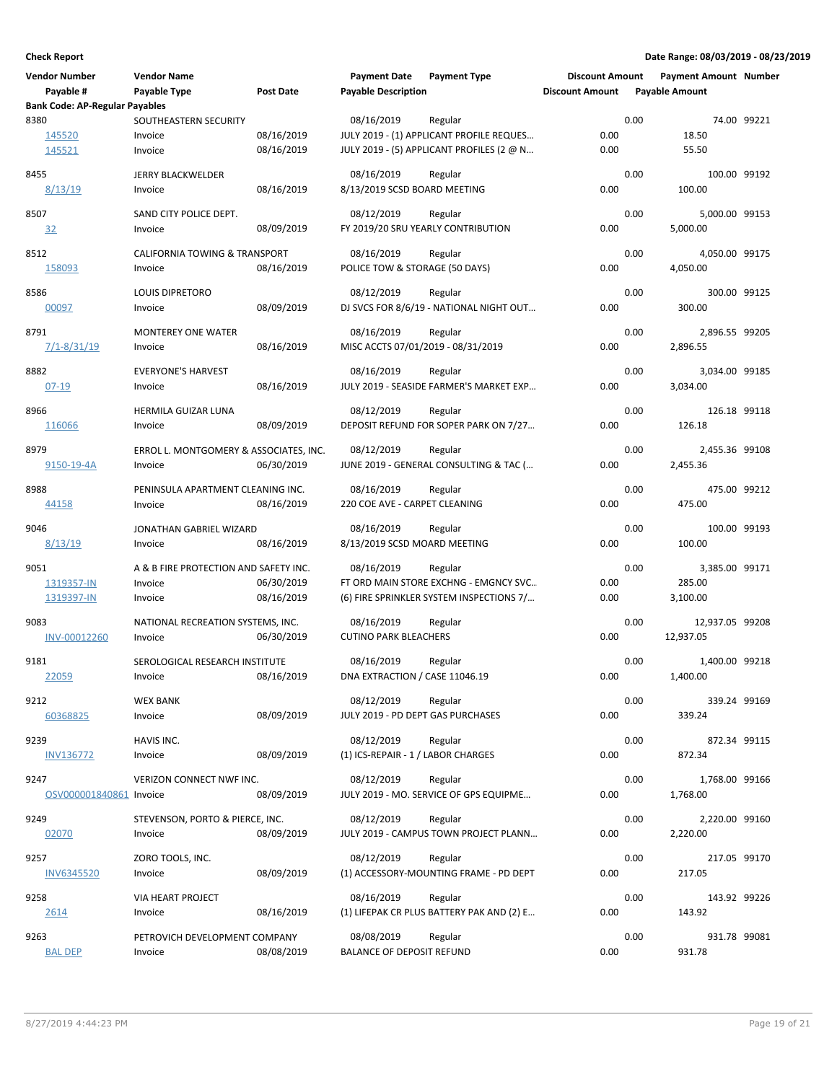| <b>Vendor Number</b><br>Payable #<br><b>Bank Code: AP-Regular Payables</b> | <b>Vendor Name</b><br>Payable Type                          | Post Date                | <b>Payment Date</b><br><b>Payable Description</b> | <b>Payment Type</b>                                                                          | <b>Discount Amount</b><br><b>Discount Amount</b> |      | <b>Payment Amount Number</b><br><b>Payable Amount</b> |              |
|----------------------------------------------------------------------------|-------------------------------------------------------------|--------------------------|---------------------------------------------------|----------------------------------------------------------------------------------------------|--------------------------------------------------|------|-------------------------------------------------------|--------------|
| 8380<br>145520                                                             | SOUTHEASTERN SECURITY<br>Invoice                            | 08/16/2019               | 08/16/2019                                        | Regular<br>JULY 2019 - (1) APPLICANT PROFILE REQUES                                          | 0.00                                             | 0.00 | 18.50                                                 | 74.00 99221  |
| 145521<br>8455                                                             | Invoice<br><b>JERRY BLACKWELDER</b>                         | 08/16/2019               | 08/16/2019                                        | JULY 2019 - (5) APPLICANT PROFILES (2 @ N<br>Regular                                         | 0.00                                             | 0.00 | 55.50                                                 | 100.00 99192 |
| 8/13/19<br>8507<br>32                                                      | Invoice<br>SAND CITY POLICE DEPT.<br>Invoice                | 08/16/2019<br>08/09/2019 | 8/13/2019 SCSD BOARD MEETING<br>08/12/2019        | Regular<br>FY 2019/20 SRU YEARLY CONTRIBUTION                                                | 0.00<br>0.00                                     | 0.00 | 100.00<br>5,000.00 99153<br>5,000.00                  |              |
| 8512<br>158093                                                             | <b>CALIFORNIA TOWING &amp; TRANSPORT</b><br>Invoice         | 08/16/2019               | 08/16/2019<br>POLICE TOW & STORAGE (50 DAYS)      | Regular                                                                                      | 0.00                                             | 0.00 | 4,050.00 99175<br>4,050.00                            |              |
| 8586<br>00097                                                              | <b>LOUIS DIPRETORO</b><br>Invoice                           | 08/09/2019               | 08/12/2019                                        | Regular<br>DJ SVCS FOR 8/6/19 - NATIONAL NIGHT OUT                                           | 0.00                                             | 0.00 | 300.00                                                | 300.00 99125 |
| 8791<br>$7/1 - 8/31/19$                                                    | <b>MONTEREY ONE WATER</b><br>Invoice                        | 08/16/2019               | 08/16/2019<br>MISC ACCTS 07/01/2019 - 08/31/2019  | Regular                                                                                      | 0.00                                             | 0.00 | 2,896.55 99205<br>2,896.55                            |              |
| 8882<br>$07 - 19$                                                          | <b>EVERYONE'S HARVEST</b><br>Invoice                        | 08/16/2019               | 08/16/2019                                        | Regular<br>JULY 2019 - SEASIDE FARMER'S MARKET EXP                                           | 0.00                                             | 0.00 | 3,034.00 99185<br>3,034.00                            |              |
| 8966<br>116066                                                             | HERMILA GUIZAR LUNA<br>Invoice                              | 08/09/2019               | 08/12/2019                                        | Regular<br>DEPOSIT REFUND FOR SOPER PARK ON 7/27                                             | 0.00                                             | 0.00 | 126.18 99118<br>126.18                                |              |
| 8979<br>9150-19-4A                                                         | ERROL L. MONTGOMERY & ASSOCIATES, INC.<br>Invoice           | 06/30/2019               | 08/12/2019                                        | Regular<br>JUNE 2019 - GENERAL CONSULTING & TAC (                                            | 0.00                                             | 0.00 | 2,455.36 99108<br>2,455.36                            |              |
| 8988<br>44158                                                              | PENINSULA APARTMENT CLEANING INC.<br>Invoice                | 08/16/2019               | 08/16/2019<br>220 COE AVE - CARPET CLEANING       | Regular                                                                                      | 0.00                                             | 0.00 | 475.00                                                | 475.00 99212 |
| 9046<br>8/13/19                                                            | JONATHAN GABRIEL WIZARD<br>Invoice                          | 08/16/2019               | 08/16/2019<br>8/13/2019 SCSD MOARD MEETING        | Regular                                                                                      | 0.00                                             | 0.00 | 100.00                                                | 100.00 99193 |
| 9051<br>1319357-IN<br>1319397-IN                                           | A & B FIRE PROTECTION AND SAFETY INC.<br>Invoice<br>Invoice | 06/30/2019<br>08/16/2019 | 08/16/2019                                        | Regular<br>FT ORD MAIN STORE EXCHNG - EMGNCY SVC<br>(6) FIRE SPRINKLER SYSTEM INSPECTIONS 7/ | 0.00<br>0.00                                     | 0.00 | 3,385.00 99171<br>285.00<br>3,100.00                  |              |
| 9083<br>INV-00012260                                                       | NATIONAL RECREATION SYSTEMS, INC.<br>Invoice                | 06/30/2019               | 08/16/2019<br><b>CUTINO PARK BLEACHERS</b>        | Regular                                                                                      | 0.00                                             | 0.00 | 12,937.05 99208<br>12,937.05                          |              |
| 9181<br>22059                                                              | SEROLOGICAL RESEARCH INSTITUTE<br>Invoice                   | 08/16/2019               | 08/16/2019<br>DNA EXTRACTION / CASE 11046.19      | Regular                                                                                      | 0.00                                             | 0.00 | 1,400.00 99218<br>1,400.00                            |              |
| 9212<br>60368825                                                           | <b>WEX BANK</b><br>Invoice                                  | 08/09/2019               | 08/12/2019<br>JULY 2019 - PD DEPT GAS PURCHASES   | Regular                                                                                      | 0.00                                             | 0.00 | 339.24 99169<br>339.24                                |              |
| 9239<br><b>INV136772</b>                                                   | HAVIS INC.<br>Invoice                                       | 08/09/2019               | 08/12/2019<br>(1) ICS-REPAIR - 1 / LABOR CHARGES  | Regular                                                                                      | 0.00                                             | 0.00 | 872.34 99115<br>872.34                                |              |
| 9247<br>OSV000001840861 Invoice                                            | VERIZON CONNECT NWF INC.                                    | 08/09/2019               | 08/12/2019                                        | Regular<br>JULY 2019 - MO. SERVICE OF GPS EQUIPME                                            | 0.00                                             | 0.00 | 1,768.00 99166<br>1,768.00                            |              |
| 9249<br>02070                                                              | STEVENSON, PORTO & PIERCE, INC.<br>Invoice                  | 08/09/2019               | 08/12/2019                                        | Regular<br>JULY 2019 - CAMPUS TOWN PROJECT PLANN                                             | 0.00                                             | 0.00 | 2,220.00 99160<br>2,220.00                            |              |
| 9257<br><b>INV6345520</b>                                                  | ZORO TOOLS, INC.<br>Invoice                                 | 08/09/2019               | 08/12/2019                                        | Regular<br>(1) ACCESSORY-MOUNTING FRAME - PD DEPT                                            | 0.00                                             | 0.00 | 217.05 99170<br>217.05                                |              |
| 9258<br>2614                                                               | VIA HEART PROJECT<br>Invoice                                | 08/16/2019               | 08/16/2019                                        | Regular<br>(1) LIFEPAK CR PLUS BATTERY PAK AND (2) E                                         | 0.00                                             | 0.00 | 143.92 99226<br>143.92                                |              |
| 9263<br><b>BAL DEP</b>                                                     | PETROVICH DEVELOPMENT COMPANY<br>Invoice                    | 08/08/2019               | 08/08/2019<br><b>BALANCE OF DEPOSIT REFUND</b>    | Regular                                                                                      | 0.00                                             | 0.00 | 931.78 99081<br>931.78                                |              |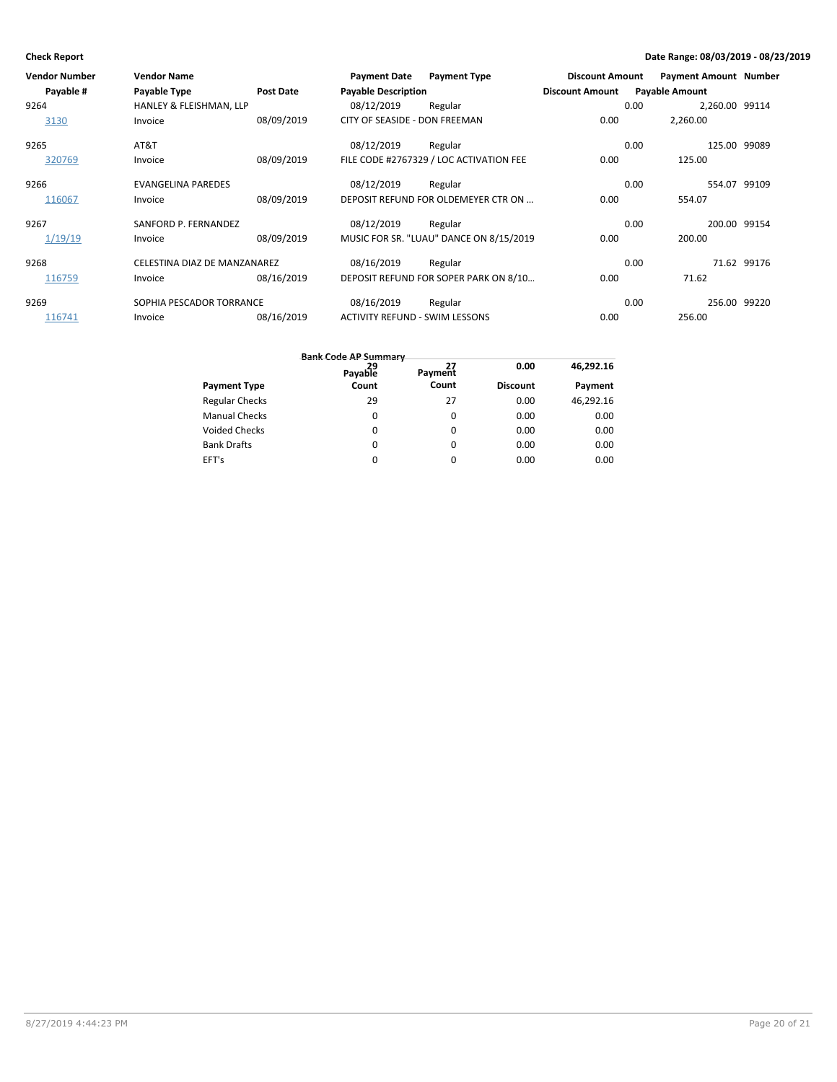| <b>Vendor Number</b> | <b>Vendor Name</b>           |                  | <b>Payment Date</b>                   | <b>Payment Type</b>                     | <b>Discount Amount</b> |                       | <b>Payment Amount Number</b> |              |
|----------------------|------------------------------|------------------|---------------------------------------|-----------------------------------------|------------------------|-----------------------|------------------------------|--------------|
| Payable #            | Payable Type                 | <b>Post Date</b> | <b>Payable Description</b>            |                                         | <b>Discount Amount</b> | <b>Payable Amount</b> |                              |              |
| 9264                 | HANLEY & FLEISHMAN, LLP      |                  | 08/12/2019                            | Regular                                 |                        | 0.00                  | 2,260.00 99114               |              |
| 3130                 | Invoice                      | 08/09/2019       | CITY OF SEASIDE - DON FREEMAN         |                                         | 0.00                   |                       | 2,260.00                     |              |
| 9265                 | AT&T                         |                  | 08/12/2019                            | Regular                                 |                        | 0.00                  | 125.00 99089                 |              |
| 320769               | Invoice                      | 08/09/2019       |                                       | FILE CODE #2767329 / LOC ACTIVATION FEE | 0.00                   |                       | 125.00                       |              |
| 9266                 | <b>EVANGELINA PAREDES</b>    |                  | 08/12/2019                            | Regular                                 |                        | 0.00                  | 554.07 99109                 |              |
| 116067               | Invoice                      | 08/09/2019       |                                       | DEPOSIT REFUND FOR OLDEMEYER CTR ON     | 0.00                   |                       | 554.07                       |              |
| 9267                 | SANFORD P. FERNANDEZ         |                  | 08/12/2019                            | Regular                                 |                        | 0.00                  | 200.00 99154                 |              |
| 1/19/19              | Invoice                      | 08/09/2019       |                                       | MUSIC FOR SR. "LUAU" DANCE ON 8/15/2019 | 0.00                   |                       | 200.00                       |              |
| 9268                 | CELESTINA DIAZ DE MANZANAREZ |                  | 08/16/2019                            | Regular                                 |                        | 0.00                  |                              | 71.62 99176  |
| 116759               | Invoice                      | 08/16/2019       |                                       | DEPOSIT REFUND FOR SOPER PARK ON 8/10   | 0.00                   |                       | 71.62                        |              |
| 9269                 | SOPHIA PESCADOR TORRANCE     |                  | 08/16/2019                            | Regular                                 |                        | 0.00                  |                              | 256.00 99220 |
| 116741               | Invoice                      | 08/16/2019       | <b>ACTIVITY REFUND - SWIM LESSONS</b> |                                         | 0.00                   |                       | 256.00                       |              |

|                       | 29<br>Payable | Payment  | 0.00            | 46,292.16 |
|-----------------------|---------------|----------|-----------------|-----------|
| <b>Payment Type</b>   | Count         | Count    | <b>Discount</b> | Payment   |
| <b>Regular Checks</b> | 29            | 27       | 0.00            | 46,292.16 |
| <b>Manual Checks</b>  | 0             | 0        | 0.00            | 0.00      |
| <b>Voided Checks</b>  | 0             | $\Omega$ | 0.00            | 0.00      |
| <b>Bank Drafts</b>    | 0             | $\Omega$ | 0.00            | 0.00      |
| EFT's                 | 0             | 0        | 0.00            | 0.00      |